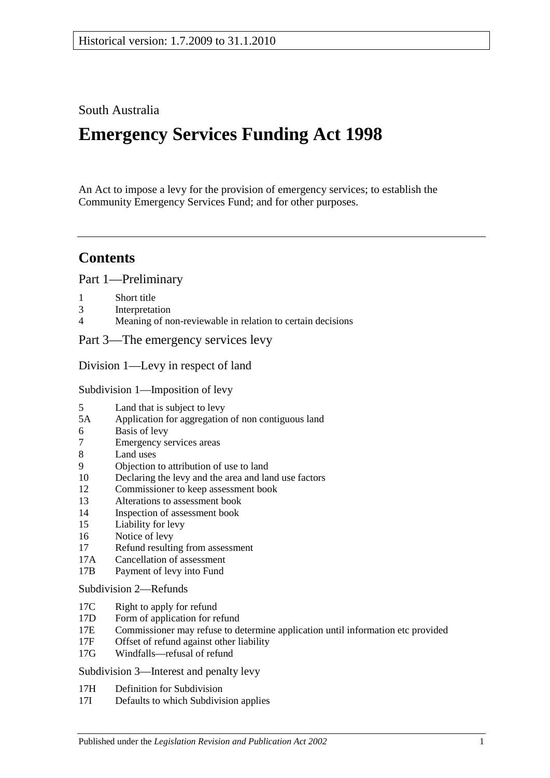## South Australia

# **Emergency Services Funding Act 1998**

An Act to impose a levy for the provision of emergency services; to establish the Community Emergency Services Fund; and for other purposes.

## **Contents**

[Part 1—Preliminary](#page-2-0)

- 
- 1 [Short title](#page-2-1)<br>3 Interpretat 3 [Interpretation](#page-2-2)<br>4 Meaning of no
- [Meaning of non-reviewable in relation to certain decisions](#page-4-0)

[Part 3—The emergency services levy](#page-4-1)

[Division 1—Levy in respect of land](#page-4-2)

[Subdivision 1—Imposition of levy](#page-4-3)

- 5 [Land that is subject to levy](#page-4-4)<br>5A Application for aggregation
- [Application for aggregation of non contiguous land](#page-6-0)
- 6 [Basis of levy](#page-6-1)
- 7 [Emergency services areas](#page-7-0)
- 8 [Land uses](#page-7-1)
- 9 [Objection to attribution of use to land](#page-8-0)
- 10 [Declaring the levy and the area and land use factors](#page-8-1)
- 12 [Commissioner to keep assessment book](#page-10-0)<br>13 Alterations to assessment book
- 13 [Alterations to assessment book](#page-11-0)<br>14 Inspection of assessment book
- [Inspection of assessment book](#page-11-1)
- 15 [Liability for levy](#page-11-2)
- 16 [Notice of levy](#page-12-0)
- 17 [Refund resulting from assessment](#page-12-1)
- 17A [Cancellation of assessment](#page-12-2)<br>17B Payment of levy into Fund
- [Payment of levy into Fund](#page-12-3)

#### [Subdivision 2—Refunds](#page-13-0)

- 17C [Right to apply for refund](#page-13-1)
- 17D [Form of application for refund](#page-13-2)
- 17E [Commissioner may refuse to determine application until information etc provided](#page-13-3)<br>17F Offset of refund against other liability
- [Offset of refund against other liability](#page-13-4)
- 17G [Windfalls—refusal of refund](#page-14-0)

[Subdivision 3—Interest and penalty levy](#page-14-1)

- 17H [Definition for Subdivision](#page-14-2)
- 17I [Defaults to which Subdivision applies](#page-14-3)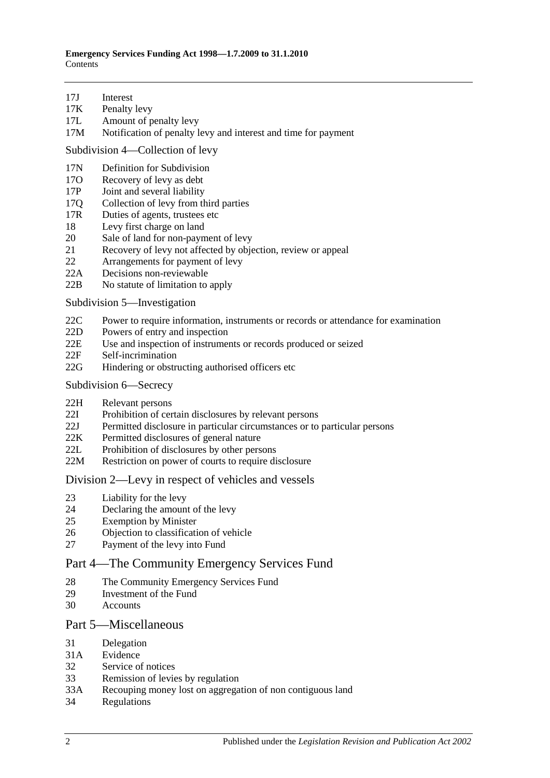- 17J [Interest](#page-14-4)<br>17K Penalty
- [Penalty levy](#page-15-0)
- 17L [Amount of penalty levy](#page-15-1)
- 17M [Notification of penalty levy and interest and time for payment](#page-15-2)

[Subdivision 4—Collection of levy](#page-16-0)

- 17N [Definition for](#page-16-1) Subdivision<br>170 Recovery of levy as debt
- 17O [Recovery of levy as debt](#page-16-2)<br>17P Joint and several liability
- [Joint and several liability](#page-16-3)
- 17Q [Collection of levy from third parties](#page-16-4)
- 17R [Duties of agents, trustees etc](#page-17-0)<br>18 Levy first charge on land
- 18 [Levy first charge on land](#page-18-0)<br>20 Sale of land for non-payn
- 20 [Sale of land for non-payment of levy](#page-18-1)<br>21 Recovery of levy not affected by object
- [Recovery of levy not affected by objection, review or appeal](#page-19-0)
- 22 [Arrangements for payment of levy](#page-20-0)
- 22A [Decisions non-reviewable](#page-20-1)<br>22B No statute of limitation to
- [No statute of limitation to apply](#page-20-2)

[Subdivision 5—Investigation](#page-20-3)

- 22C [Power to require information, instruments or records or attendance for examination](#page-20-4)
- 22D [Powers of entry and inspection](#page-21-0)<br>22E Use and inspection of instrumer
- [Use and inspection of instruments or records produced or seized](#page-21-1)
- 22F [Self-incrimination](#page-22-0)
- 22G [Hindering or obstructing authorised officers etc](#page-22-1)
- [Subdivision 6—Secrecy](#page-23-0)
- 22H [Relevant persons](#page-23-1)<br>22I Prohibition of cer
- [Prohibition of certain disclosures by relevant persons](#page-23-2)
- 22J [Permitted disclosure in particular circumstances or to particular persons](#page-23-3)
- 22K [Permitted disclosures of general nature](#page-23-4)
- 22L [Prohibition of disclosures by other persons](#page-23-5)
- 22M [Restriction on power of courts to require disclosure](#page-24-0)

#### [Division 2—Levy in respect of vehicles and vessels](#page-24-1)

- 23 [Liability for the levy](#page-24-2)
- 24 [Declaring the amount of the levy](#page-24-3)<br>25 Exemption by Minister
- **[Exemption by Minister](#page-25-0)**
- 26 [Objection to classification of vehicle](#page-25-1)
- 27 [Payment of the levy into Fund](#page-26-0)

#### [Part 4—The Community Emergency Services Fund](#page-26-1)

- 28 [The Community Emergency Services Fund](#page-26-2)
- 29 [Investment of the Fund](#page-27-0)
- 30 [Accounts](#page-27-1)

#### [Part 5—Miscellaneous](#page-27-2)

- 31 [Delegation](#page-27-3)
- 31A [Evidence](#page-28-0)
- 32 [Service of notices](#page-28-1)
- 33 [Remission of levies by regulation](#page-28-2)
- 33A [Recouping money lost on aggregation of non contiguous land](#page-29-0)
- 34 [Regulations](#page-29-1)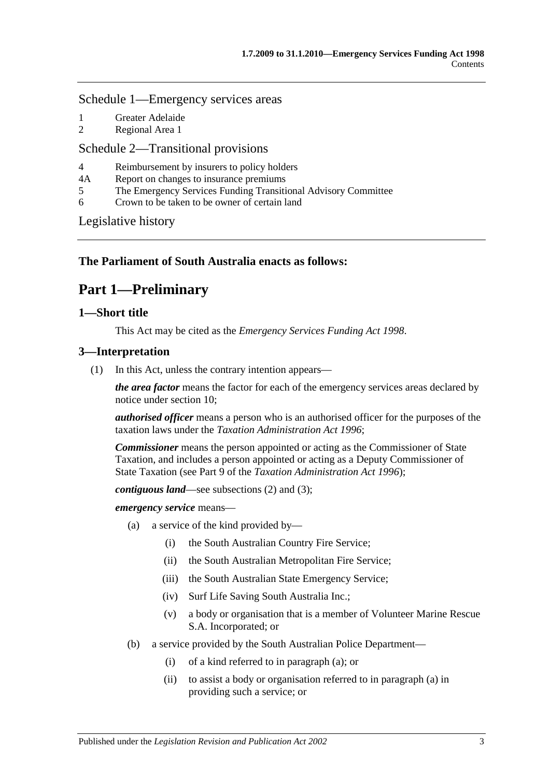#### [Schedule 1—Emergency services areas](#page-29-2)

- 1 [Greater Adelaide](#page-29-3)<br>2 Regional Area 1
- [Regional Area 1](#page-30-0)

## [Schedule 2—Transitional provisions](#page-30-1)

- 4 [Reimbursement by insurers to policy holders](#page-30-2)<br>4A Report on changes to insurance premiums
- 4A [Report on changes to insurance premiums](#page-31-0)<br>5 The Emergency Services Funding Transiti
- 5 [The Emergency Services Funding Transitional Advisory Committee](#page-31-1)
- 6 [Crown to be taken to be owner of certain land](#page-32-0)

[Legislative history](#page-34-0)

## <span id="page-2-0"></span>**The Parliament of South Australia enacts as follows:**

## **Part 1—Preliminary**

## <span id="page-2-1"></span>**1—Short title**

This Act may be cited as the *Emergency Services Funding Act 1998*.

## <span id="page-2-5"></span><span id="page-2-2"></span>**3—Interpretation**

(1) In this Act, unless the contrary intention appears—

*the area factor* means the factor for each of the emergency services areas declared by notice under [section](#page-8-1) 10;

*authorised officer* means a person who is an authorised officer for the purposes of the taxation laws under the *[Taxation Administration Act](http://www.legislation.sa.gov.au/index.aspx?action=legref&type=act&legtitle=Taxation%20Administration%20Act%201996) 1996*;

*Commissioner* means the person appointed or acting as the Commissioner of State Taxation, and includes a person appointed or acting as a Deputy Commissioner of State Taxation (see Part 9 of the *[Taxation Administration Act](http://www.legislation.sa.gov.au/index.aspx?action=legref&type=act&legtitle=Taxation%20Administration%20Act%201996) 1996*);

*contiguous land*—see [subsections](#page-4-5) (2) and [\(3\);](#page-4-6)

<span id="page-2-3"></span>*emergency service* means—

- (a) a service of the kind provided by—
	- (i) the South Australian Country Fire Service;
	- (ii) the South Australian Metropolitan Fire Service;
	- (iii) the South Australian State Emergency Service;
	- (iv) Surf Life Saving South Australia Inc.;
	- (v) a body or organisation that is a member of Volunteer Marine Rescue S.A. Incorporated; or
- <span id="page-2-4"></span>(b) a service provided by the South Australian Police Department—
	- (i) of a kind referred to in [paragraph](#page-2-3) (a); or
	- (ii) to assist a body or organisation referred to i[n paragraph](#page-2-3) (a) in providing such a service; or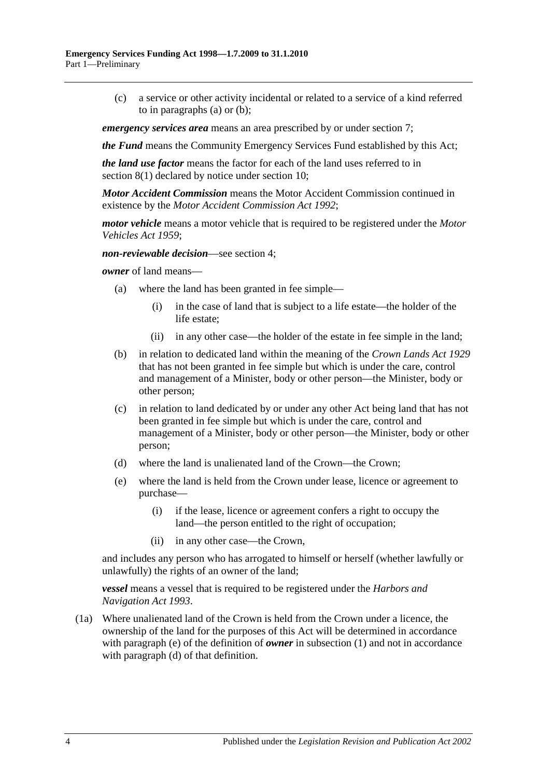(c) a service or other activity incidental or related to a service of a kind referred to in [paragraphs](#page-2-3) (a) or [\(b\);](#page-2-4)

*emergency services area* means an area prescribed by or under [section](#page-7-0) 7;

*the Fund* means the Community Emergency Services Fund established by this Act;

*the land use factor* means the factor for each of the land uses referred to in [section](#page-7-2) 8(1) declared by notice under [section](#page-8-1) 10;

*Motor Accident Commission* means the Motor Accident Commission continued in existence by the *[Motor Accident Commission Act](http://www.legislation.sa.gov.au/index.aspx?action=legref&type=act&legtitle=Motor%20Accident%20Commission%20Act%201992) 1992*;

*motor vehicle* means a motor vehicle that is required to be registered under the *[Motor](http://www.legislation.sa.gov.au/index.aspx?action=legref&type=act&legtitle=Motor%20Vehicles%20Act%201959)  [Vehicles Act](http://www.legislation.sa.gov.au/index.aspx?action=legref&type=act&legtitle=Motor%20Vehicles%20Act%201959) 1959*;

*non-reviewable decision*—see [section](#page-4-0) 4;

*owner* of land means—

- (a) where the land has been granted in fee simple—
	- (i) in the case of land that is subject to a life estate—the holder of the life estate;
	- (ii) in any other case—the holder of the estate in fee simple in the land;
- (b) in relation to dedicated land within the meaning of the *[Crown Lands Act](http://www.legislation.sa.gov.au/index.aspx?action=legref&type=act&legtitle=Crown%20Lands%20Act%201929) 1929* that has not been granted in fee simple but which is under the care, control and management of a Minister, body or other person—the Minister, body or other person;
- (c) in relation to land dedicated by or under any other Act being land that has not been granted in fee simple but which is under the care, control and management of a Minister, body or other person—the Minister, body or other person;
- <span id="page-3-1"></span>(d) where the land is unalienated land of the Crown—the Crown;
- <span id="page-3-0"></span>(e) where the land is held from the Crown under lease, licence or agreement to purchase—
	- (i) if the lease, licence or agreement confers a right to occupy the land—the person entitled to the right of occupation;
	- (ii) in any other case—the Crown,

and includes any person who has arrogated to himself or herself (whether lawfully or unlawfully) the rights of an owner of the land;

*vessel* means a vessel that is required to be registered under the *[Harbors and](http://www.legislation.sa.gov.au/index.aspx?action=legref&type=act&legtitle=Harbors%20and%20Navigation%20Act%201993)  [Navigation Act](http://www.legislation.sa.gov.au/index.aspx?action=legref&type=act&legtitle=Harbors%20and%20Navigation%20Act%201993) 1993*.

(1a) Where unalienated land of the Crown is held from the Crown under a licence, the ownership of the land for the purposes of this Act will be determined in accordance with [paragraph](#page-3-0) (e) of the definition of *owner* in [subsection](#page-2-5) (1) and not in accordance with [paragraph](#page-3-1) (d) of that definition.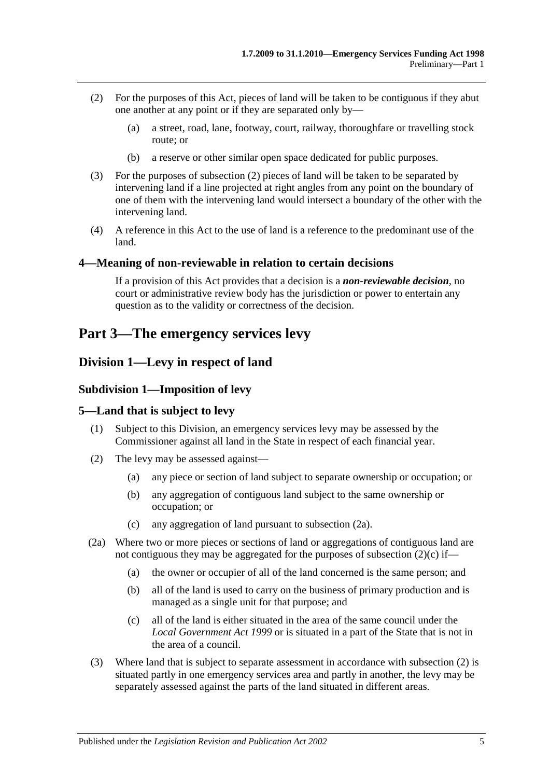- <span id="page-4-5"></span>(2) For the purposes of this Act, pieces of land will be taken to be contiguous if they abut one another at any point or if they are separated only by—
	- (a) a street, road, lane, footway, court, railway, thoroughfare or travelling stock route; or
	- (b) a reserve or other similar open space dedicated for public purposes.
- <span id="page-4-6"></span>(3) For the purposes of [subsection](#page-4-5) (2) pieces of land will be taken to be separated by intervening land if a line projected at right angles from any point on the boundary of one of them with the intervening land would intersect a boundary of the other with the intervening land.
- (4) A reference in this Act to the use of land is a reference to the predominant use of the land.

#### <span id="page-4-0"></span>**4—Meaning of non-reviewable in relation to certain decisions**

If a provision of this Act provides that a decision is a *non-reviewable decision*, no court or administrative review body has the jurisdiction or power to entertain any question as to the validity or correctness of the decision.

## <span id="page-4-1"></span>**Part 3—The emergency services levy**

## <span id="page-4-3"></span><span id="page-4-2"></span>**Division 1—Levy in respect of land**

#### **Subdivision 1—Imposition of levy**

#### <span id="page-4-4"></span>**5—Land that is subject to levy**

- (1) Subject to this Division, an emergency services levy may be assessed by the Commissioner against all land in the State in respect of each financial year.
- <span id="page-4-9"></span>(2) The levy may be assessed against—
	- (a) any piece or section of land subject to separate ownership or occupation; or
	- (b) any aggregation of contiguous land subject to the same ownership or occupation; or
	- (c) any aggregation of land pursuant to [subsection](#page-4-7) (2a).
- <span id="page-4-8"></span><span id="page-4-7"></span>(2a) Where two or more pieces or sections of land or aggregations of contiguous land are not contiguous they may be aggregated for the purposes of [subsection](#page-4-8) (2)(c) if—
	- (a) the owner or occupier of all of the land concerned is the same person; and
	- (b) all of the land is used to carry on the business of primary production and is managed as a single unit for that purpose; and
	- (c) all of the land is either situated in the area of the same council under the *[Local Government Act](http://www.legislation.sa.gov.au/index.aspx?action=legref&type=act&legtitle=Local%20Government%20Act%201999) 1999* or is situated in a part of the State that is not in the area of a council.
- (3) Where land that is subject to separate assessment in accordance with [subsection](#page-4-9) (2) is situated partly in one emergency services area and partly in another, the levy may be separately assessed against the parts of the land situated in different areas.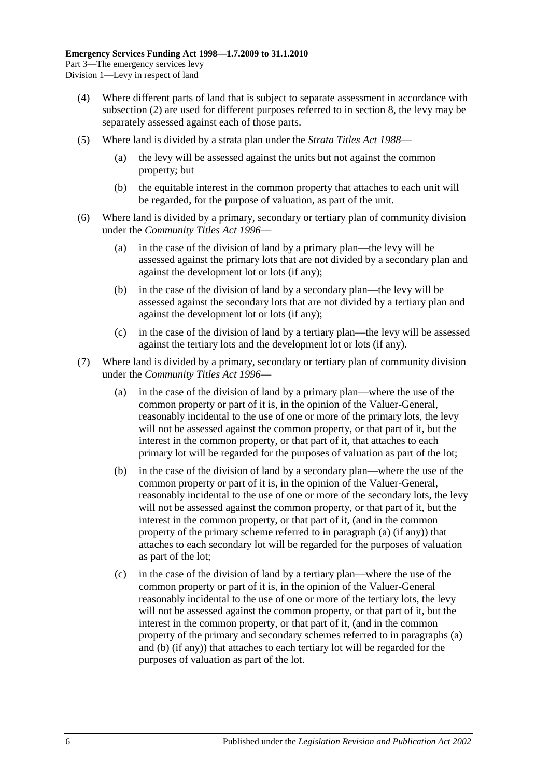- (4) Where different parts of land that is subject to separate assessment in accordance with [subsection](#page-4-9) (2) are used for different purposes referred to in [section](#page-7-1) 8, the levy may be separately assessed against each of those parts.
- (5) Where land is divided by a strata plan under the *[Strata Titles Act](http://www.legislation.sa.gov.au/index.aspx?action=legref&type=act&legtitle=Strata%20Titles%20Act%201988) 1988*
	- (a) the levy will be assessed against the units but not against the common property; but
	- (b) the equitable interest in the common property that attaches to each unit will be regarded, for the purpose of valuation, as part of the unit.
- (6) Where land is divided by a primary, secondary or tertiary plan of community division under the *[Community Titles Act](http://www.legislation.sa.gov.au/index.aspx?action=legref&type=act&legtitle=Community%20Titles%20Act%201996) 1996*—
	- (a) in the case of the division of land by a primary plan—the levy will be assessed against the primary lots that are not divided by a secondary plan and against the development lot or lots (if any);
	- (b) in the case of the division of land by a secondary plan—the levy will be assessed against the secondary lots that are not divided by a tertiary plan and against the development lot or lots (if any);
	- (c) in the case of the division of land by a tertiary plan—the levy will be assessed against the tertiary lots and the development lot or lots (if any).
- <span id="page-5-1"></span><span id="page-5-0"></span>(7) Where land is divided by a primary, secondary or tertiary plan of community division under the *[Community Titles Act](http://www.legislation.sa.gov.au/index.aspx?action=legref&type=act&legtitle=Community%20Titles%20Act%201996) 1996*—
	- (a) in the case of the division of land by a primary plan—where the use of the common property or part of it is, in the opinion of the Valuer-General, reasonably incidental to the use of one or more of the primary lots, the levy will not be assessed against the common property, or that part of it, but the interest in the common property, or that part of it, that attaches to each primary lot will be regarded for the purposes of valuation as part of the lot;
	- (b) in the case of the division of land by a secondary plan—where the use of the common property or part of it is, in the opinion of the Valuer-General, reasonably incidental to the use of one or more of the secondary lots, the levy will not be assessed against the common property, or that part of it, but the interest in the common property, or that part of it, (and in the common property of the primary scheme referred to in [paragraph](#page-5-0) (a) (if any)) that attaches to each secondary lot will be regarded for the purposes of valuation as part of the lot;
	- (c) in the case of the division of land by a tertiary plan—where the use of the common property or part of it is, in the opinion of the Valuer-General reasonably incidental to the use of one or more of the tertiary lots, the levy will not be assessed against the common property, or that part of it, but the interest in the common property, or that part of it, (and in the common property of the primary and secondary schemes referred to in [paragraphs](#page-5-0) (a) and [\(b\)](#page-5-1) (if any)) that attaches to each tertiary lot will be regarded for the purposes of valuation as part of the lot.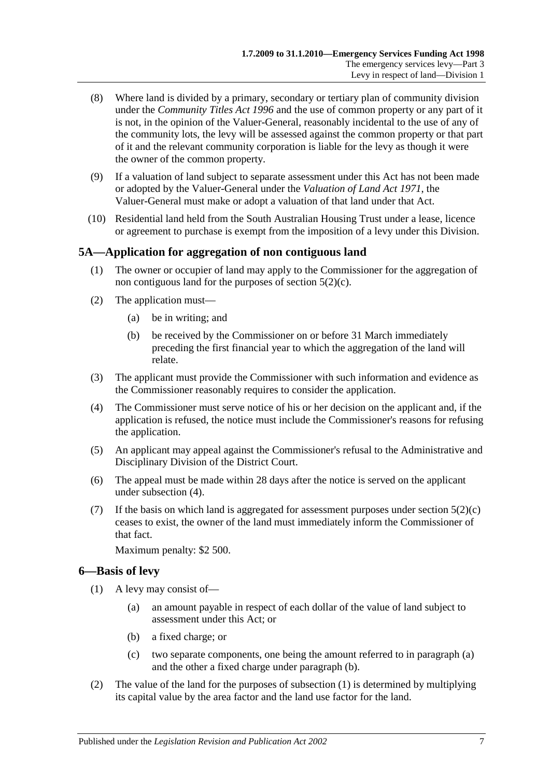- (8) Where land is divided by a primary, secondary or tertiary plan of community division under the *[Community Titles Act](http://www.legislation.sa.gov.au/index.aspx?action=legref&type=act&legtitle=Community%20Titles%20Act%201996) 1996* and the use of common property or any part of it is not, in the opinion of the Valuer-General, reasonably incidental to the use of any of the community lots, the levy will be assessed against the common property or that part of it and the relevant community corporation is liable for the levy as though it were the owner of the common property.
- (9) If a valuation of land subject to separate assessment under this Act has not been made or adopted by the Valuer-General under the *[Valuation of Land Act](http://www.legislation.sa.gov.au/index.aspx?action=legref&type=act&legtitle=Valuation%20of%20Land%20Act%201971) 1971*, the Valuer-General must make or adopt a valuation of that land under that Act.
- (10) Residential land held from the South Australian Housing Trust under a lease, licence or agreement to purchase is exempt from the imposition of a levy under this Division.

## <span id="page-6-0"></span>**5A—Application for aggregation of non contiguous land**

- (1) The owner or occupier of land may apply to the Commissioner for the aggregation of non contiguous land for the purposes of [section](#page-4-8) 5(2)(c).
- (2) The application must—
	- (a) be in writing; and
	- (b) be received by the Commissioner on or before 31 March immediately preceding the first financial year to which the aggregation of the land will relate.
- (3) The applicant must provide the Commissioner with such information and evidence as the Commissioner reasonably requires to consider the application.
- <span id="page-6-2"></span>(4) The Commissioner must serve notice of his or her decision on the applicant and, if the application is refused, the notice must include the Commissioner's reasons for refusing the application.
- (5) An applicant may appeal against the Commissioner's refusal to the Administrative and Disciplinary Division of the District Court.
- (6) The appeal must be made within 28 days after the notice is served on the applicant under [subsection](#page-6-2) (4).
- (7) If the basis on which land is aggregated for assessment purposes under [section](#page-4-8)  $5(2)(c)$ ceases to exist, the owner of the land must immediately inform the Commissioner of that fact.

Maximum penalty: \$2 500.

## <span id="page-6-5"></span><span id="page-6-1"></span>**6—Basis of levy**

- <span id="page-6-4"></span><span id="page-6-3"></span>(1) A levy may consist of—
	- (a) an amount payable in respect of each dollar of the value of land subject to assessment under this Act; or
	- (b) a fixed charge; or
	- (c) two separate components, one being the amount referred to in [paragraph](#page-6-3) (a) and the other a fixed charge under [paragraph](#page-6-4) (b).
- <span id="page-6-6"></span>(2) The value of the land for the purposes of [subsection](#page-6-5) (1) is determined by multiplying its capital value by the area factor and the land use factor for the land.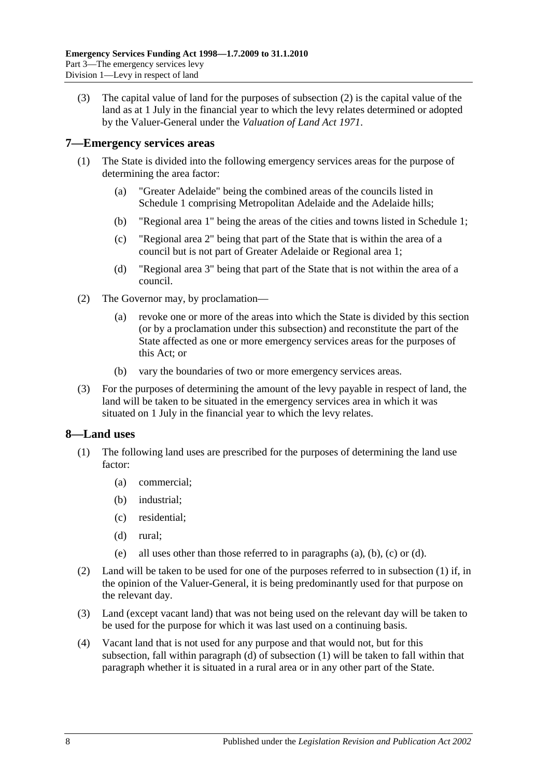(3) The capital value of land for the purposes of [subsection](#page-6-6) (2) is the capital value of the land as at 1 July in the financial year to which the levy relates determined or adopted by the Valuer-General under the *[Valuation of Land Act](http://www.legislation.sa.gov.au/index.aspx?action=legref&type=act&legtitle=Valuation%20of%20Land%20Act%201971) 1971*.

#### <span id="page-7-0"></span>**7—Emergency services areas**

- (1) The State is divided into the following emergency services areas for the purpose of determining the area factor:
	- (a) "Greater Adelaide" being the combined areas of the councils listed in [Schedule 1](#page-29-2) comprising Metropolitan Adelaide and the Adelaide hills;
	- (b) "Regional area 1" being the areas of the cities and towns listed in [Schedule 1;](#page-29-2)
	- (c) "Regional area 2" being that part of the State that is within the area of a council but is not part of Greater Adelaide or Regional area 1;
	- (d) "Regional area 3" being that part of the State that is not within the area of a council.
- (2) The Governor may, by proclamation—
	- (a) revoke one or more of the areas into which the State is divided by this section (or by a proclamation under this subsection) and reconstitute the part of the State affected as one or more emergency services areas for the purposes of this Act; or
	- (b) vary the boundaries of two or more emergency services areas.
- (3) For the purposes of determining the amount of the levy payable in respect of land, the land will be taken to be situated in the emergency services area in which it was situated on 1 July in the financial year to which the levy relates.

## <span id="page-7-2"></span><span id="page-7-1"></span>**8—Land uses**

- <span id="page-7-4"></span><span id="page-7-3"></span>(1) The following land uses are prescribed for the purposes of determining the land use factor:
	- (a) commercial;
	- (b) industrial;
	- (c) residential;
	- (d) rural;
	- (e) all uses other than those referred to in [paragraphs](#page-7-3) (a), [\(b\),](#page-7-4) [\(c\)](#page-7-5) or [\(d\).](#page-7-6)
- <span id="page-7-6"></span><span id="page-7-5"></span>(2) Land will be taken to be used for one of the purposes referred to in [subsection](#page-7-2) (1) if, in the opinion of the Valuer-General, it is being predominantly used for that purpose on the relevant day.
- (3) Land (except vacant land) that was not being used on the relevant day will be taken to be used for the purpose for which it was last used on a continuing basis.
- (4) Vacant land that is not used for any purpose and that would not, but for this subsection, fall within [paragraph](#page-7-6) (d) of [subsection](#page-7-2) (1) will be taken to fall within that paragraph whether it is situated in a rural area or in any other part of the State.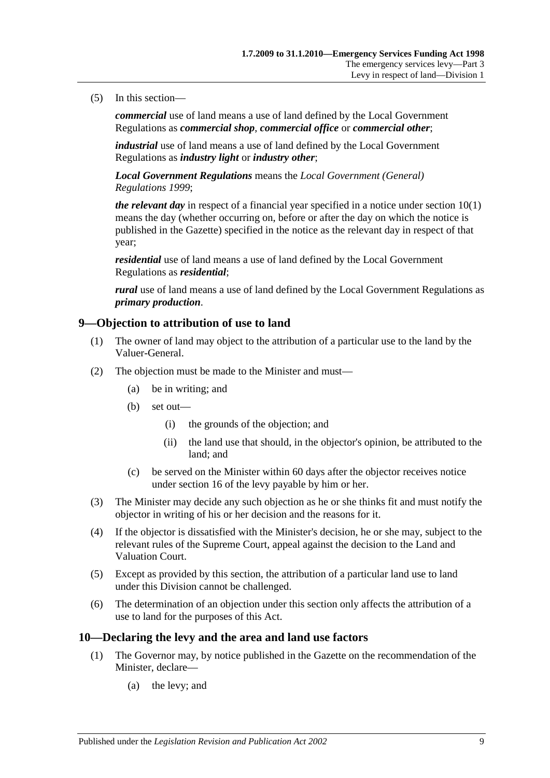#### (5) In this section—

*commercial* use of land means a use of land defined by the Local Government Regulations as *commercial shop*, *commercial office* or *commercial other*;

*industrial* use of land means a use of land defined by the Local Government Regulations as *industry light* or *industry other*;

*Local Government Regulations* means the *[Local Government \(General\)](http://www.legislation.sa.gov.au/index.aspx?action=legref&type=act&legtitle=Local%20Government%20(General)%20Regulations%201999)  [Regulations](http://www.legislation.sa.gov.au/index.aspx?action=legref&type=act&legtitle=Local%20Government%20(General)%20Regulations%201999) 1999*;

*the relevant day* in respect of a financial year specified in a notice unde[r section](#page-8-2) 10(1) means the day (whether occurring on, before or after the day on which the notice is published in the Gazette) specified in the notice as the relevant day in respect of that year;

*residential* use of land means a use of land defined by the Local Government Regulations as *residential*;

*rural* use of land means a use of land defined by the Local Government Regulations as *primary production*.

#### <span id="page-8-0"></span>**9—Objection to attribution of use to land**

- (1) The owner of land may object to the attribution of a particular use to the land by the Valuer-General.
- (2) The objection must be made to the Minister and must—
	- (a) be in writing; and
	- (b) set out—
		- (i) the grounds of the objection; and
		- (ii) the land use that should, in the objector's opinion, be attributed to the land; and
	- (c) be served on the Minister within 60 days after the objector receives notice under [section](#page-12-0) 16 of the levy payable by him or her.
- (3) The Minister may decide any such objection as he or she thinks fit and must notify the objector in writing of his or her decision and the reasons for it.
- (4) If the objector is dissatisfied with the Minister's decision, he or she may, subject to the relevant rules of the Supreme Court, appeal against the decision to the Land and Valuation Court.
- (5) Except as provided by this section, the attribution of a particular land use to land under this Division cannot be challenged.
- (6) The determination of an objection under this section only affects the attribution of a use to land for the purposes of this Act.

#### <span id="page-8-2"></span><span id="page-8-1"></span>**10—Declaring the levy and the area and land use factors**

- (1) The Governor may, by notice published in the Gazette on the recommendation of the Minister, declare—
	- (a) the levy; and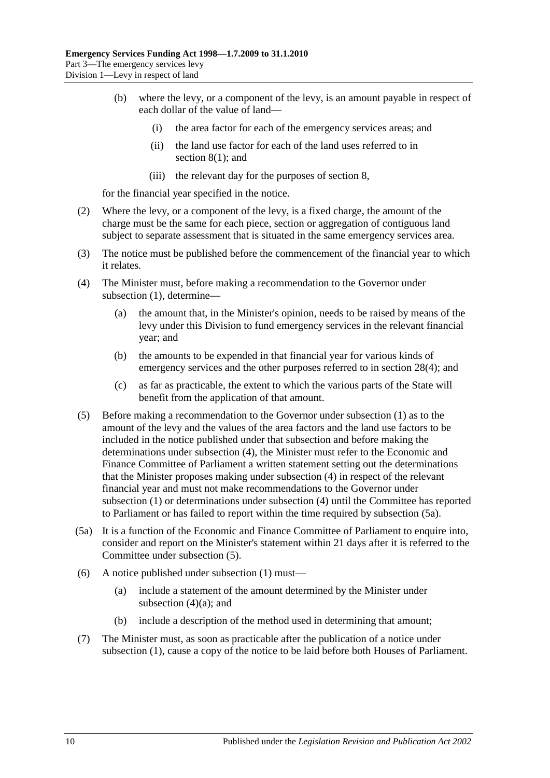- (b) where the levy, or a component of the levy, is an amount payable in respect of each dollar of the value of land—
	- (i) the area factor for each of the emergency services areas; and
	- (ii) the land use factor for each of the land uses referred to in [section](#page-7-2) 8(1); and
	- (iii) the relevant day for the purposes o[f section](#page-7-1) 8,

for the financial year specified in the notice.

- (2) Where the levy, or a component of the levy, is a fixed charge, the amount of the charge must be the same for each piece, section or aggregation of contiguous land subject to separate assessment that is situated in the same emergency services area.
- (3) The notice must be published before the commencement of the financial year to which it relates.
- <span id="page-9-3"></span><span id="page-9-0"></span>(4) The Minister must, before making a recommendation to the Governor under [subsection](#page-8-2) (1), determine—
	- (a) the amount that, in the Minister's opinion, needs to be raised by means of the levy under this Division to fund emergency services in the relevant financial year; and
	- (b) the amounts to be expended in that financial year for various kinds of emergency services and the other purposes referred to in [section](#page-26-3) 28(4); and
	- (c) as far as practicable, the extent to which the various parts of the State will benefit from the application of that amount.
- <span id="page-9-2"></span>(5) Before making a recommendation to the Governor under [subsection](#page-8-2) (1) as to the amount of the levy and the values of the area factors and the land use factors to be included in the notice published under that subsection and before making the determinations under [subsection](#page-9-0) (4), the Minister must refer to the Economic and Finance Committee of Parliament a written statement setting out the determinations that the Minister proposes making under [subsection](#page-9-0) (4) in respect of the relevant financial year and must not make recommendations to the Governor under [subsection](#page-8-2) (1) or determinations under [subsection](#page-9-0) (4) until the Committee has reported to Parliament or has failed to report within the time required by [subsection](#page-9-1) (5a).
- <span id="page-9-1"></span>(5a) It is a function of the Economic and Finance Committee of Parliament to enquire into, consider and report on the Minister's statement within 21 days after it is referred to the Committee under [subsection](#page-9-2) (5).
- (6) A notice published under [subsection](#page-8-2) (1) must—
	- (a) include a statement of the amount determined by the Minister under [subsection](#page-9-3)  $(4)(a)$ ; and
	- (b) include a description of the method used in determining that amount;
- (7) The Minister must, as soon as practicable after the publication of a notice under [subsection](#page-8-2) (1), cause a copy of the notice to be laid before both Houses of Parliament.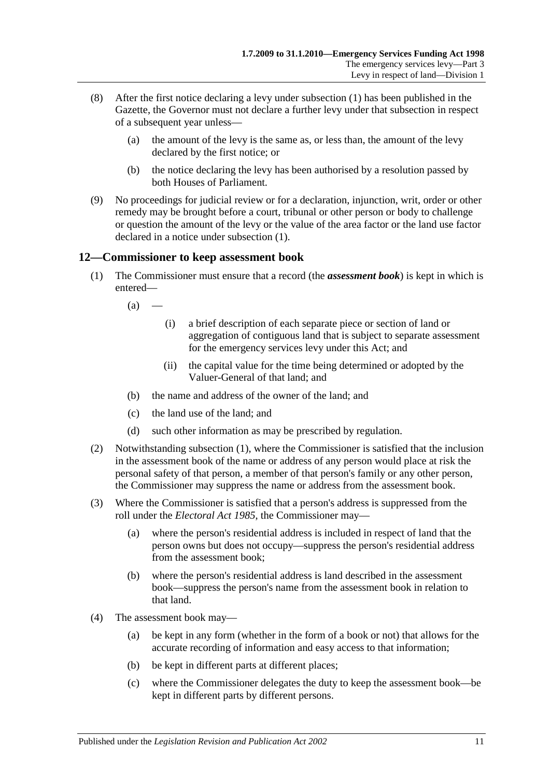- (8) After the first notice declaring a levy under [subsection](#page-8-2) (1) has been published in the Gazette, the Governor must not declare a further levy under that subsection in respect of a subsequent year unless—
	- (a) the amount of the levy is the same as, or less than, the amount of the levy declared by the first notice; or
	- (b) the notice declaring the levy has been authorised by a resolution passed by both Houses of Parliament.
- (9) No proceedings for judicial review or for a declaration, injunction, writ, order or other remedy may be brought before a court, tribunal or other person or body to challenge or question the amount of the levy or the value of the area factor or the land use factor declared in a notice under [subsection](#page-8-2) (1).

## <span id="page-10-1"></span><span id="page-10-0"></span>**12—Commissioner to keep assessment book**

- (1) The Commissioner must ensure that a record (the *assessment book*) is kept in which is entered—
	- $(a)$ 
		- (i) a brief description of each separate piece or section of land or aggregation of contiguous land that is subject to separate assessment for the emergency services levy under this Act; and
		- (ii) the capital value for the time being determined or adopted by the Valuer-General of that land; and
	- (b) the name and address of the owner of the land; and
	- (c) the land use of the land; and
	- (d) such other information as may be prescribed by regulation.
- (2) Notwithstanding [subsection](#page-10-1) (1), where the Commissioner is satisfied that the inclusion in the assessment book of the name or address of any person would place at risk the personal safety of that person, a member of that person's family or any other person, the Commissioner may suppress the name or address from the assessment book.
- (3) Where the Commissioner is satisfied that a person's address is suppressed from the roll under the *[Electoral Act](http://www.legislation.sa.gov.au/index.aspx?action=legref&type=act&legtitle=Electoral%20Act%201985) 1985*, the Commissioner may—
	- (a) where the person's residential address is included in respect of land that the person owns but does not occupy—suppress the person's residential address from the assessment book;
	- (b) where the person's residential address is land described in the assessment book—suppress the person's name from the assessment book in relation to that land.
- (4) The assessment book may—
	- (a) be kept in any form (whether in the form of a book or not) that allows for the accurate recording of information and easy access to that information;
	- (b) be kept in different parts at different places;
	- (c) where the Commissioner delegates the duty to keep the assessment book—be kept in different parts by different persons.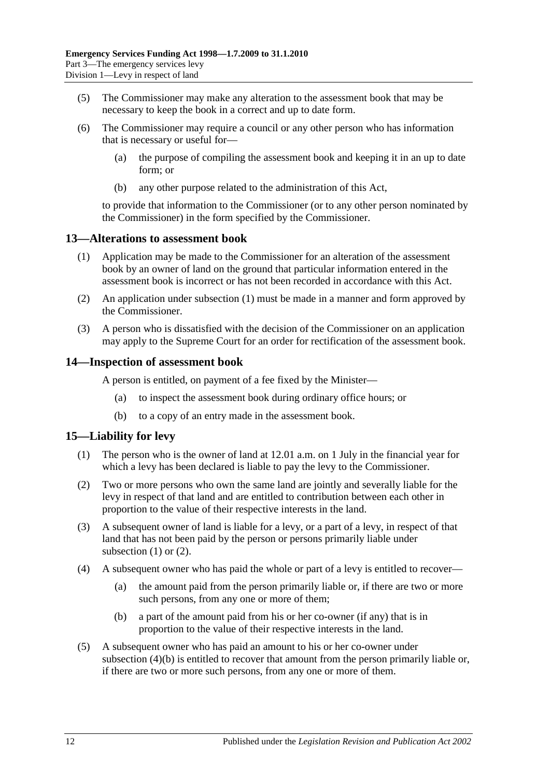- (5) The Commissioner may make any alteration to the assessment book that may be necessary to keep the book in a correct and up to date form.
- (6) The Commissioner may require a council or any other person who has information that is necessary or useful for—
	- (a) the purpose of compiling the assessment book and keeping it in an up to date form; or
	- (b) any other purpose related to the administration of this Act,

to provide that information to the Commissioner (or to any other person nominated by the Commissioner) in the form specified by the Commissioner.

#### <span id="page-11-3"></span><span id="page-11-0"></span>**13—Alterations to assessment book**

- (1) Application may be made to the Commissioner for an alteration of the assessment book by an owner of land on the ground that particular information entered in the assessment book is incorrect or has not been recorded in accordance with this Act.
- (2) An application under [subsection](#page-11-3) (1) must be made in a manner and form approved by the Commissioner.
- (3) A person who is dissatisfied with the decision of the Commissioner on an application may apply to the Supreme Court for an order for rectification of the assessment book.

#### <span id="page-11-1"></span>**14—Inspection of assessment book**

A person is entitled, on payment of a fee fixed by the Minister—

- (a) to inspect the assessment book during ordinary office hours; or
- (b) to a copy of an entry made in the assessment book.

## <span id="page-11-4"></span><span id="page-11-2"></span>**15—Liability for levy**

- (1) The person who is the owner of land at 12.01 a.m. on 1 July in the financial year for which a levy has been declared is liable to pay the levy to the Commissioner.
- <span id="page-11-5"></span>(2) Two or more persons who own the same land are jointly and severally liable for the levy in respect of that land and are entitled to contribution between each other in proportion to the value of their respective interests in the land.
- (3) A subsequent owner of land is liable for a levy, or a part of a levy, in respect of that land that has not been paid by the person or persons primarily liable under [subsection](#page-11-4)  $(1)$  or  $(2)$ .
- (4) A subsequent owner who has paid the whole or part of a levy is entitled to recover—
	- (a) the amount paid from the person primarily liable or, if there are two or more such persons, from any one or more of them;
	- (b) a part of the amount paid from his or her co-owner (if any) that is in proportion to the value of their respective interests in the land.
- <span id="page-11-6"></span>(5) A subsequent owner who has paid an amount to his or her co-owner under [subsection](#page-11-6) (4)(b) is entitled to recover that amount from the person primarily liable or, if there are two or more such persons, from any one or more of them.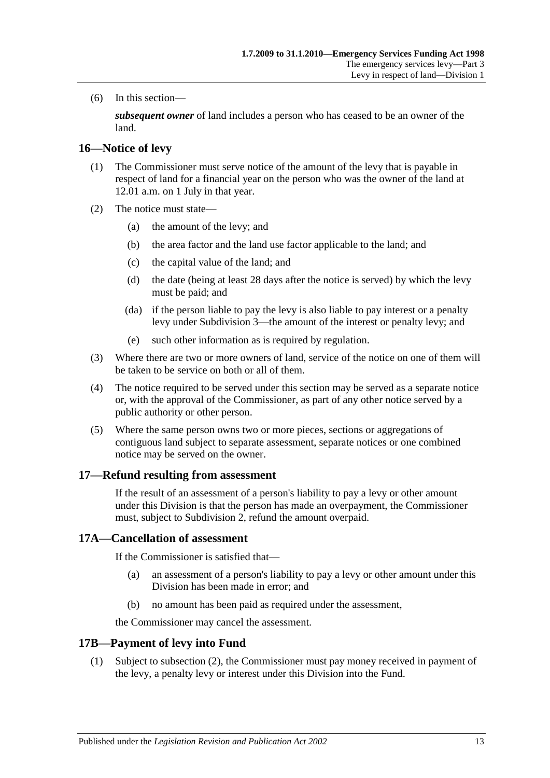(6) In this section—

*subsequent owner* of land includes a person who has ceased to be an owner of the land.

#### <span id="page-12-0"></span>**16—Notice of levy**

- (1) The Commissioner must serve notice of the amount of the levy that is payable in respect of land for a financial year on the person who was the owner of the land at 12.01 a.m. on 1 July in that year.
- (2) The notice must state—
	- (a) the amount of the levy; and
	- (b) the area factor and the land use factor applicable to the land; and
	- (c) the capital value of the land; and
	- (d) the date (being at least 28 days after the notice is served) by which the levy must be paid; and
	- (da) if the person liable to pay the levy is also liable to pay interest or a penalty levy under [Subdivision 3—](#page-14-1)the amount of the interest or penalty levy; and
	- (e) such other information as is required by regulation.
- (3) Where there are two or more owners of land, service of the notice on one of them will be taken to be service on both or all of them.
- (4) The notice required to be served under this section may be served as a separate notice or, with the approval of the Commissioner, as part of any other notice served by a public authority or other person.
- (5) Where the same person owns two or more pieces, sections or aggregations of contiguous land subject to separate assessment, separate notices or one combined notice may be served on the owner.

#### <span id="page-12-1"></span>**17—Refund resulting from assessment**

If the result of an assessment of a person's liability to pay a levy or other amount under this Division is that the person has made an overpayment, the Commissioner must, subject to [Subdivision 2,](#page-13-0) refund the amount overpaid.

#### <span id="page-12-2"></span>**17A—Cancellation of assessment**

If the Commissioner is satisfied that—

- (a) an assessment of a person's liability to pay a levy or other amount under this Division has been made in error; and
- (b) no amount has been paid as required under the assessment,

the Commissioner may cancel the assessment.

## <span id="page-12-3"></span>**17B—Payment of levy into Fund**

(1) Subject to [subsection](#page-13-5) (2), the Commissioner must pay money received in payment of the levy, a penalty levy or interest under this Division into the Fund.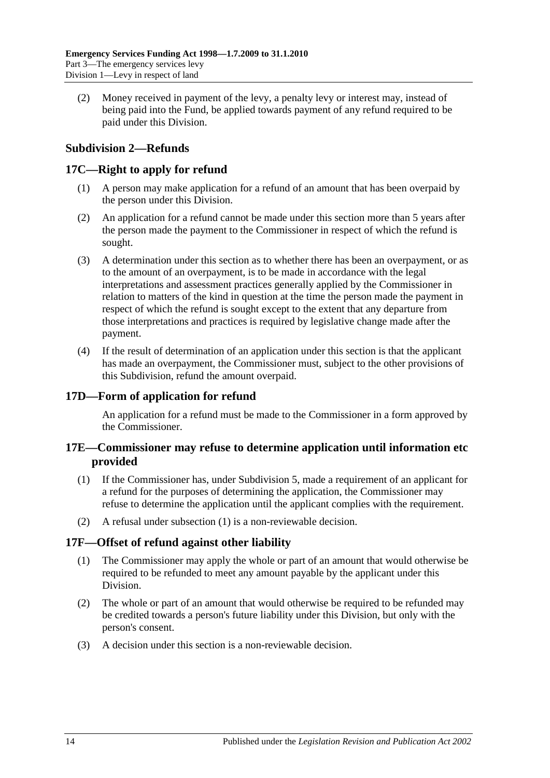<span id="page-13-5"></span>(2) Money received in payment of the levy, a penalty levy or interest may, instead of being paid into the Fund, be applied towards payment of any refund required to be paid under this Division.

## <span id="page-13-0"></span>**Subdivision 2—Refunds**

## <span id="page-13-1"></span>**17C—Right to apply for refund**

- (1) A person may make application for a refund of an amount that has been overpaid by the person under this Division.
- (2) An application for a refund cannot be made under this section more than 5 years after the person made the payment to the Commissioner in respect of which the refund is sought.
- (3) A determination under this section as to whether there has been an overpayment, or as to the amount of an overpayment, is to be made in accordance with the legal interpretations and assessment practices generally applied by the Commissioner in relation to matters of the kind in question at the time the person made the payment in respect of which the refund is sought except to the extent that any departure from those interpretations and practices is required by legislative change made after the payment.
- (4) If the result of determination of an application under this section is that the applicant has made an overpayment, the Commissioner must, subject to the other provisions of this Subdivision, refund the amount overpaid.

## <span id="page-13-2"></span>**17D—Form of application for refund**

An application for a refund must be made to the Commissioner in a form approved by the Commissioner.

## <span id="page-13-3"></span>**17E—Commissioner may refuse to determine application until information etc provided**

- <span id="page-13-6"></span>(1) If the Commissioner has, under [Subdivision 5,](#page-20-3) made a requirement of an applicant for a refund for the purposes of determining the application, the Commissioner may refuse to determine the application until the applicant complies with the requirement.
- (2) A refusal under [subsection](#page-13-6) (1) is a non-reviewable decision.

## <span id="page-13-4"></span>**17F—Offset of refund against other liability**

- (1) The Commissioner may apply the whole or part of an amount that would otherwise be required to be refunded to meet any amount payable by the applicant under this Division.
- (2) The whole or part of an amount that would otherwise be required to be refunded may be credited towards a person's future liability under this Division, but only with the person's consent.
- (3) A decision under this section is a non-reviewable decision.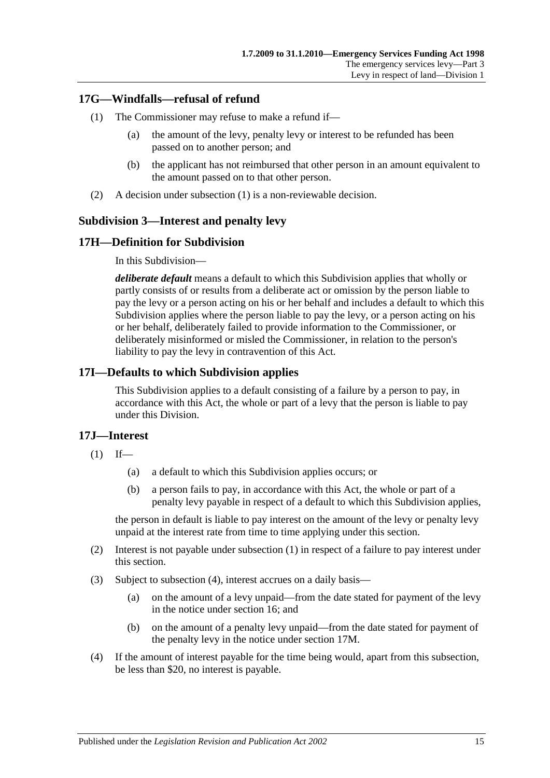## <span id="page-14-5"></span><span id="page-14-0"></span>**17G—Windfalls—refusal of refund**

- (1) The Commissioner may refuse to make a refund if—
	- (a) the amount of the levy, penalty levy or interest to be refunded has been passed on to another person; and
	- (b) the applicant has not reimbursed that other person in an amount equivalent to the amount passed on to that other person.
- (2) A decision under [subsection](#page-14-5) (1) is a non-reviewable decision.

## <span id="page-14-1"></span>**Subdivision 3—Interest and penalty levy**

## <span id="page-14-2"></span>**17H—Definition for Subdivision**

In this Subdivision—

*deliberate default* means a default to which this Subdivision applies that wholly or partly consists of or results from a deliberate act or omission by the person liable to pay the levy or a person acting on his or her behalf and includes a default to which this Subdivision applies where the person liable to pay the levy, or a person acting on his or her behalf, deliberately failed to provide information to the Commissioner, or deliberately misinformed or misled the Commissioner, in relation to the person's liability to pay the levy in contravention of this Act.

## <span id="page-14-3"></span>**17I—Defaults to which Subdivision applies**

This Subdivision applies to a default consisting of a failure by a person to pay, in accordance with this Act, the whole or part of a levy that the person is liable to pay under this Division.

## <span id="page-14-6"></span><span id="page-14-4"></span>**17J—Interest**

- $(1)$  If—
	- (a) a default to which this Subdivision applies occurs; or
	- (b) a person fails to pay, in accordance with this Act, the whole or part of a penalty levy payable in respect of a default to which this Subdivision applies,

the person in default is liable to pay interest on the amount of the levy or penalty levy unpaid at the interest rate from time to time applying under this section.

- (2) Interest is not payable under [subsection](#page-14-6) (1) in respect of a failure to pay interest under this section.
- (3) Subject to [subsection](#page-14-7) (4), interest accrues on a daily basis—
	- (a) on the amount of a levy unpaid—from the date stated for payment of the levy in the notice under [section](#page-12-0) 16; and
	- (b) on the amount of a penalty levy unpaid—from the date stated for payment of the penalty levy in the notice under [section](#page-15-2) 17M.
- <span id="page-14-7"></span>(4) If the amount of interest payable for the time being would, apart from this subsection, be less than \$20, no interest is payable.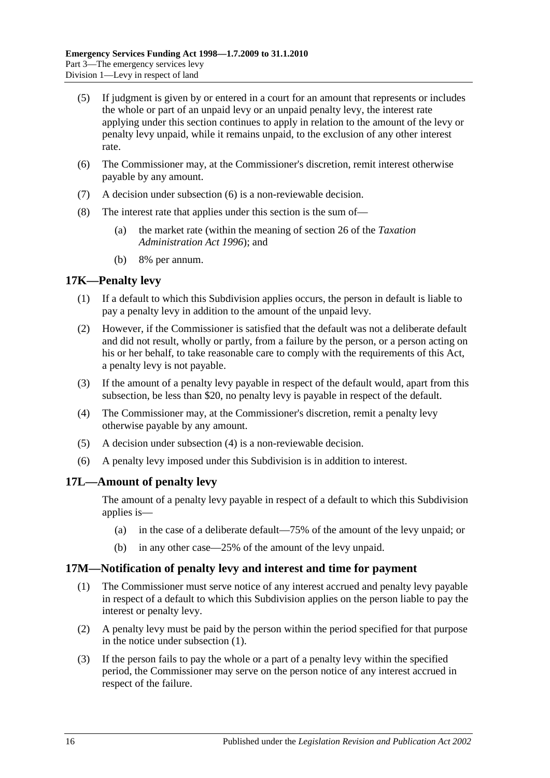- (5) If judgment is given by or entered in a court for an amount that represents or includes the whole or part of an unpaid levy or an unpaid penalty levy, the interest rate applying under this section continues to apply in relation to the amount of the levy or penalty levy unpaid, while it remains unpaid, to the exclusion of any other interest rate.
- <span id="page-15-3"></span>(6) The Commissioner may, at the Commissioner's discretion, remit interest otherwise payable by any amount.
- (7) A decision under [subsection](#page-15-3) (6) is a non-reviewable decision.
- (8) The interest rate that applies under this section is the sum of—
	- (a) the market rate (within the meaning of section 26 of the *[Taxation](http://www.legislation.sa.gov.au/index.aspx?action=legref&type=act&legtitle=Taxation%20Administration%20Act%201996)  [Administration Act](http://www.legislation.sa.gov.au/index.aspx?action=legref&type=act&legtitle=Taxation%20Administration%20Act%201996) 1996*); and
	- (b) 8% per annum.

#### <span id="page-15-0"></span>**17K—Penalty levy**

- (1) If a default to which this Subdivision applies occurs, the person in default is liable to pay a penalty levy in addition to the amount of the unpaid levy.
- (2) However, if the Commissioner is satisfied that the default was not a deliberate default and did not result, wholly or partly, from a failure by the person, or a person acting on his or her behalf, to take reasonable care to comply with the requirements of this Act, a penalty levy is not payable.
- (3) If the amount of a penalty levy payable in respect of the default would, apart from this subsection, be less than \$20, no penalty levy is payable in respect of the default.
- <span id="page-15-4"></span>(4) The Commissioner may, at the Commissioner's discretion, remit a penalty levy otherwise payable by any amount.
- (5) A decision under [subsection](#page-15-4) (4) is a non-reviewable decision.
- (6) A penalty levy imposed under this Subdivision is in addition to interest.

## <span id="page-15-1"></span>**17L—Amount of penalty levy**

The amount of a penalty levy payable in respect of a default to which this Subdivision applies is—

- (a) in the case of a deliberate default—75% of the amount of the levy unpaid; or
- (b) in any other case—25% of the amount of the levy unpaid.

#### <span id="page-15-5"></span><span id="page-15-2"></span>**17M—Notification of penalty levy and interest and time for payment**

- (1) The Commissioner must serve notice of any interest accrued and penalty levy payable in respect of a default to which this Subdivision applies on the person liable to pay the interest or penalty levy.
- (2) A penalty levy must be paid by the person within the period specified for that purpose in the notice under [subsection](#page-15-5) (1).
- (3) If the person fails to pay the whole or a part of a penalty levy within the specified period, the Commissioner may serve on the person notice of any interest accrued in respect of the failure.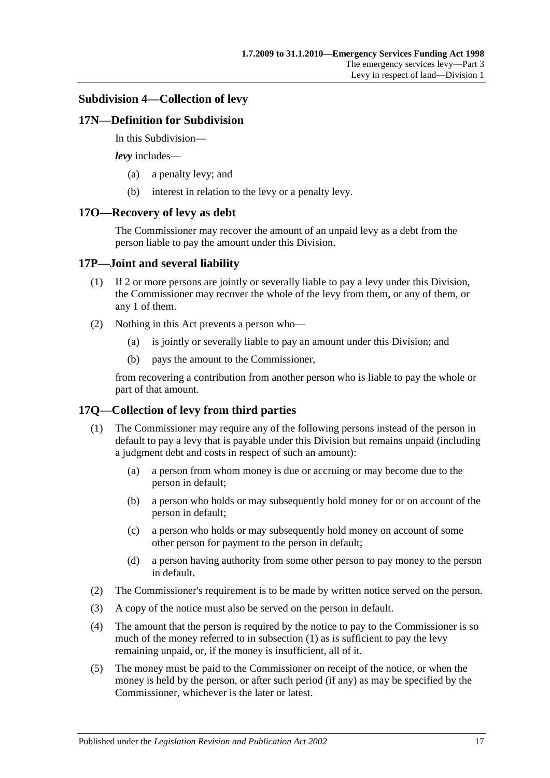#### <span id="page-16-0"></span>**Subdivision 4—Collection of levy**

#### <span id="page-16-1"></span>**17N—Definition for Subdivision**

In this Subdivision—

*levy* includes—

- (a) a penalty levy; and
- (b) interest in relation to the levy or a penalty levy.

#### <span id="page-16-2"></span>**17O—Recovery of levy as debt**

The Commissioner may recover the amount of an unpaid levy as a debt from the person liable to pay the amount under this Division.

#### <span id="page-16-3"></span>**17P—Joint and several liability**

- (1) If 2 or more persons are jointly or severally liable to pay a levy under this Division, the Commissioner may recover the whole of the levy from them, or any of them, or any 1 of them.
- (2) Nothing in this Act prevents a person who—
	- (a) is jointly or severally liable to pay an amount under this Division; and
	- (b) pays the amount to the Commissioner,

from recovering a contribution from another person who is liable to pay the whole or part of that amount.

## <span id="page-16-5"></span><span id="page-16-4"></span>**17Q—Collection of levy from third parties**

- (1) The Commissioner may require any of the following persons instead of the person in default to pay a levy that is payable under this Division but remains unpaid (including a judgment debt and costs in respect of such an amount):
	- (a) a person from whom money is due or accruing or may become due to the person in default;
	- (b) a person who holds or may subsequently hold money for or on account of the person in default;
	- (c) a person who holds or may subsequently hold money on account of some other person for payment to the person in default;
	- (d) a person having authority from some other person to pay money to the person in default.
- (2) The Commissioner's requirement is to be made by written notice served on the person.
- (3) A copy of the notice must also be served on the person in default.
- (4) The amount that the person is required by the notice to pay to the Commissioner is so much of the money referred to in [subsection](#page-16-5) (1) as is sufficient to pay the levy remaining unpaid, or, if the money is insufficient, all of it.
- (5) The money must be paid to the Commissioner on receipt of the notice, or when the money is held by the person, or after such period (if any) as may be specified by the Commissioner, whichever is the later or latest.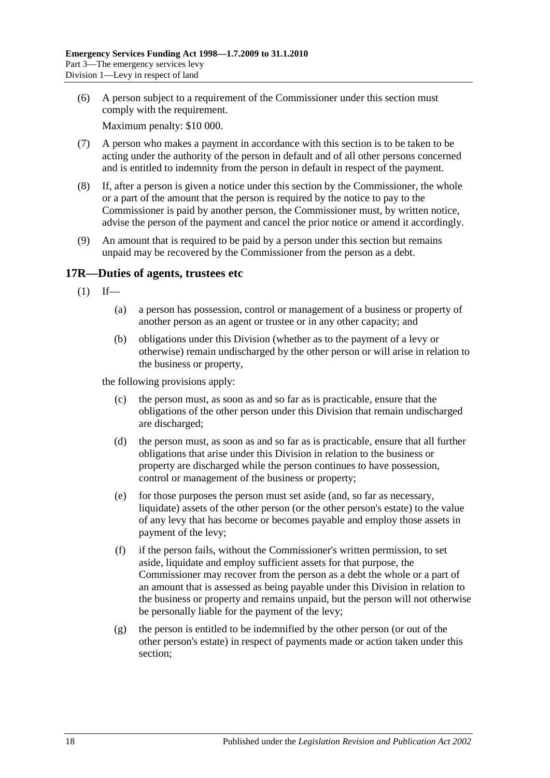(6) A person subject to a requirement of the Commissioner under this section must comply with the requirement.

Maximum penalty: \$10 000.

- (7) A person who makes a payment in accordance with this section is to be taken to be acting under the authority of the person in default and of all other persons concerned and is entitled to indemnity from the person in default in respect of the payment.
- (8) If, after a person is given a notice under this section by the Commissioner, the whole or a part of the amount that the person is required by the notice to pay to the Commissioner is paid by another person, the Commissioner must, by written notice, advise the person of the payment and cancel the prior notice or amend it accordingly.
- (9) An amount that is required to be paid by a person under this section but remains unpaid may be recovered by the Commissioner from the person as a debt.

## <span id="page-17-1"></span><span id="page-17-0"></span>**17R—Duties of agents, trustees etc**

- $(1)$  If—
	- (a) a person has possession, control or management of a business or property of another person as an agent or trustee or in any other capacity; and
	- (b) obligations under this Division (whether as to the payment of a levy or otherwise) remain undischarged by the other person or will arise in relation to the business or property,

the following provisions apply:

- (c) the person must, as soon as and so far as is practicable, ensure that the obligations of the other person under this Division that remain undischarged are discharged;
- (d) the person must, as soon as and so far as is practicable, ensure that all further obligations that arise under this Division in relation to the business or property are discharged while the person continues to have possession, control or management of the business or property;
- (e) for those purposes the person must set aside (and, so far as necessary, liquidate) assets of the other person (or the other person's estate) to the value of any levy that has become or becomes payable and employ those assets in payment of the levy;
- (f) if the person fails, without the Commissioner's written permission, to set aside, liquidate and employ sufficient assets for that purpose, the Commissioner may recover from the person as a debt the whole or a part of an amount that is assessed as being payable under this Division in relation to the business or property and remains unpaid, but the person will not otherwise be personally liable for the payment of the levy;
- (g) the person is entitled to be indemnified by the other person (or out of the other person's estate) in respect of payments made or action taken under this section;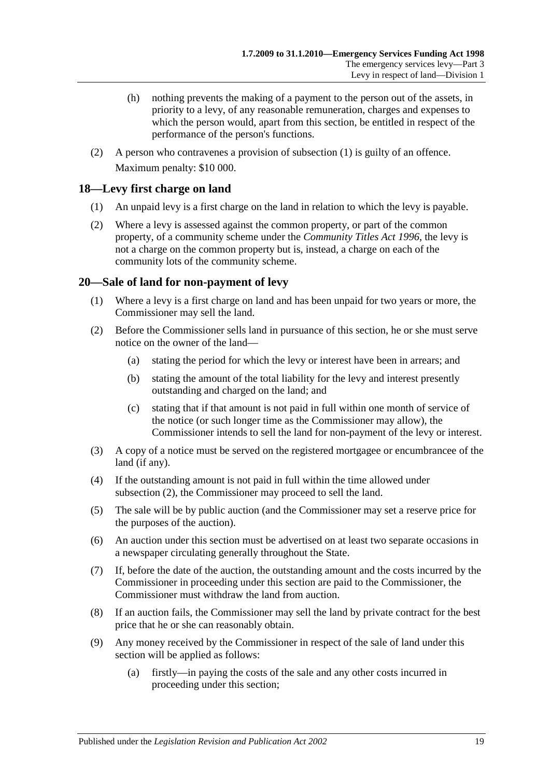- (h) nothing prevents the making of a payment to the person out of the assets, in priority to a levy, of any reasonable remuneration, charges and expenses to which the person would, apart from this section, be entitled in respect of the performance of the person's functions.
- (2) A person who contravenes a provision of [subsection](#page-17-1) (1) is guilty of an offence. Maximum penalty: \$10 000.

## <span id="page-18-0"></span>**18—Levy first charge on land**

- (1) An unpaid levy is a first charge on the land in relation to which the levy is payable.
- (2) Where a levy is assessed against the common property, or part of the common property, of a community scheme under the *[Community Titles Act](http://www.legislation.sa.gov.au/index.aspx?action=legref&type=act&legtitle=Community%20Titles%20Act%201996) 1996*, the levy is not a charge on the common property but is, instead, a charge on each of the community lots of the community scheme.

## <span id="page-18-1"></span>**20—Sale of land for non-payment of levy**

- (1) Where a levy is a first charge on land and has been unpaid for two years or more, the Commissioner may sell the land.
- <span id="page-18-2"></span>(2) Before the Commissioner sells land in pursuance of this section, he or she must serve notice on the owner of the land—
	- (a) stating the period for which the levy or interest have been in arrears; and
	- (b) stating the amount of the total liability for the levy and interest presently outstanding and charged on the land; and
	- (c) stating that if that amount is not paid in full within one month of service of the notice (or such longer time as the Commissioner may allow), the Commissioner intends to sell the land for non-payment of the levy or interest.
- (3) A copy of a notice must be served on the registered mortgagee or encumbrancee of the land (if any).
- (4) If the outstanding amount is not paid in full within the time allowed under [subsection](#page-18-2) (2), the Commissioner may proceed to sell the land.
- (5) The sale will be by public auction (and the Commissioner may set a reserve price for the purposes of the auction).
- (6) An auction under this section must be advertised on at least two separate occasions in a newspaper circulating generally throughout the State.
- (7) If, before the date of the auction, the outstanding amount and the costs incurred by the Commissioner in proceeding under this section are paid to the Commissioner, the Commissioner must withdraw the land from auction.
- (8) If an auction fails, the Commissioner may sell the land by private contract for the best price that he or she can reasonably obtain.
- (9) Any money received by the Commissioner in respect of the sale of land under this section will be applied as follows:
	- (a) firstly—in paying the costs of the sale and any other costs incurred in proceeding under this section;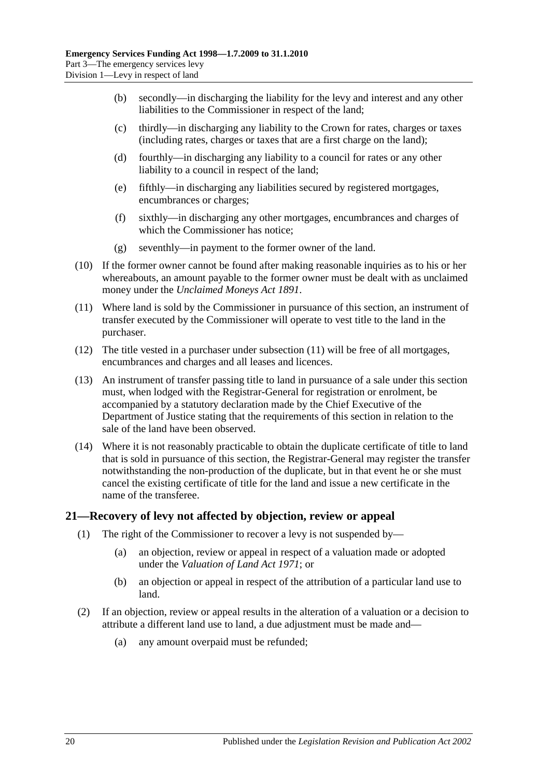- (b) secondly—in discharging the liability for the levy and interest and any other liabilities to the Commissioner in respect of the land;
- (c) thirdly—in discharging any liability to the Crown for rates, charges or taxes (including rates, charges or taxes that are a first charge on the land);
- (d) fourthly—in discharging any liability to a council for rates or any other liability to a council in respect of the land;
- (e) fifthly—in discharging any liabilities secured by registered mortgages, encumbrances or charges;
- (f) sixthly—in discharging any other mortgages, encumbrances and charges of which the Commissioner has notice;
- (g) seventhly—in payment to the former owner of the land.
- (10) If the former owner cannot be found after making reasonable inquiries as to his or her whereabouts, an amount payable to the former owner must be dealt with as unclaimed money under the *[Unclaimed Moneys Act](http://www.legislation.sa.gov.au/index.aspx?action=legref&type=act&legtitle=Unclaimed%20Moneys%20Act%201891) 1891*.
- <span id="page-19-1"></span>(11) Where land is sold by the Commissioner in pursuance of this section, an instrument of transfer executed by the Commissioner will operate to vest title to the land in the purchaser.
- (12) The title vested in a purchaser under [subsection](#page-19-1) (11) will be free of all mortgages, encumbrances and charges and all leases and licences.
- (13) An instrument of transfer passing title to land in pursuance of a sale under this section must, when lodged with the Registrar-General for registration or enrolment, be accompanied by a statutory declaration made by the Chief Executive of the Department of Justice stating that the requirements of this section in relation to the sale of the land have been observed.
- (14) Where it is not reasonably practicable to obtain the duplicate certificate of title to land that is sold in pursuance of this section, the Registrar-General may register the transfer notwithstanding the non-production of the duplicate, but in that event he or she must cancel the existing certificate of title for the land and issue a new certificate in the name of the transferee.

## <span id="page-19-0"></span>**21—Recovery of levy not affected by objection, review or appeal**

- (1) The right of the Commissioner to recover a levy is not suspended by—
	- (a) an objection, review or appeal in respect of a valuation made or adopted under the *[Valuation of Land Act](http://www.legislation.sa.gov.au/index.aspx?action=legref&type=act&legtitle=Valuation%20of%20Land%20Act%201971) 1971*; or
	- (b) an objection or appeal in respect of the attribution of a particular land use to land.
- <span id="page-19-2"></span>(2) If an objection, review or appeal results in the alteration of a valuation or a decision to attribute a different land use to land, a due adjustment must be made and—
	- (a) any amount overpaid must be refunded;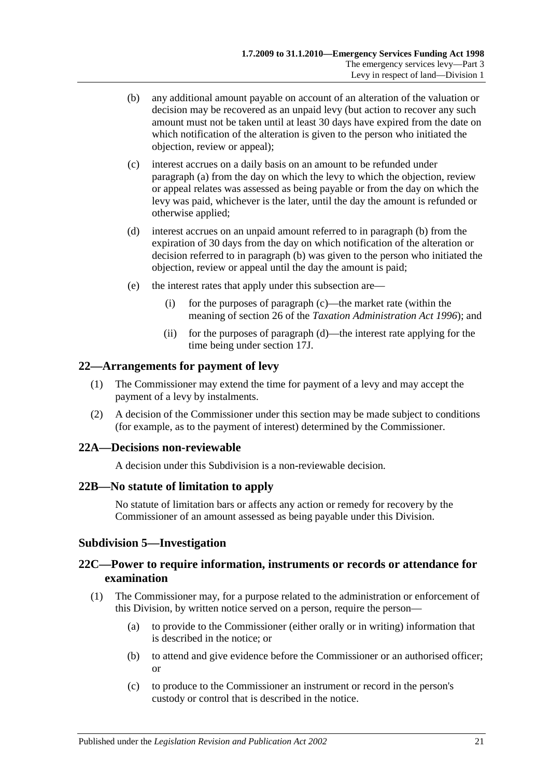- <span id="page-20-5"></span>(b) any additional amount payable on account of an alteration of the valuation or decision may be recovered as an unpaid levy (but action to recover any such amount must not be taken until at least 30 days have expired from the date on which notification of the alteration is given to the person who initiated the objection, review or appeal);
- <span id="page-20-6"></span>(c) interest accrues on a daily basis on an amount to be refunded under [paragraph](#page-19-2) (a) from the day on which the levy to which the objection, review or appeal relates was assessed as being payable or from the day on which the levy was paid, whichever is the later, until the day the amount is refunded or otherwise applied;
- <span id="page-20-7"></span>(d) interest accrues on an unpaid amount referred to in [paragraph](#page-20-5) (b) from the expiration of 30 days from the day on which notification of the alteration or decision referred to in [paragraph](#page-20-5) (b) was given to the person who initiated the objection, review or appeal until the day the amount is paid;
- (e) the interest rates that apply under this subsection are—
	- (i) for the purposes of [paragraph](#page-20-6) (c)—the market rate (within the meaning of section 26 of the *[Taxation Administration Act](http://www.legislation.sa.gov.au/index.aspx?action=legref&type=act&legtitle=Taxation%20Administration%20Act%201996) 1996*); and
	- (ii) for the purposes of [paragraph](#page-20-7) (d)—the interest rate applying for the time being under [section](#page-14-4) 17J.

#### <span id="page-20-0"></span>**22—Arrangements for payment of levy**

- (1) The Commissioner may extend the time for payment of a levy and may accept the payment of a levy by instalments.
- (2) A decision of the Commissioner under this section may be made subject to conditions (for example, as to the payment of interest) determined by the Commissioner.

#### <span id="page-20-1"></span>**22A—Decisions non-reviewable**

A decision under this Subdivision is a non-reviewable decision.

#### <span id="page-20-2"></span>**22B—No statute of limitation to apply**

No statute of limitation bars or affects any action or remedy for recovery by the Commissioner of an amount assessed as being payable under this Division.

## <span id="page-20-3"></span>**Subdivision 5—Investigation**

## <span id="page-20-4"></span>**22C—Power to require information, instruments or records or attendance for examination**

- (1) The Commissioner may, for a purpose related to the administration or enforcement of this Division, by written notice served on a person, require the person—
	- (a) to provide to the Commissioner (either orally or in writing) information that is described in the notice; or
	- (b) to attend and give evidence before the Commissioner or an authorised officer; or
	- (c) to produce to the Commissioner an instrument or record in the person's custody or control that is described in the notice.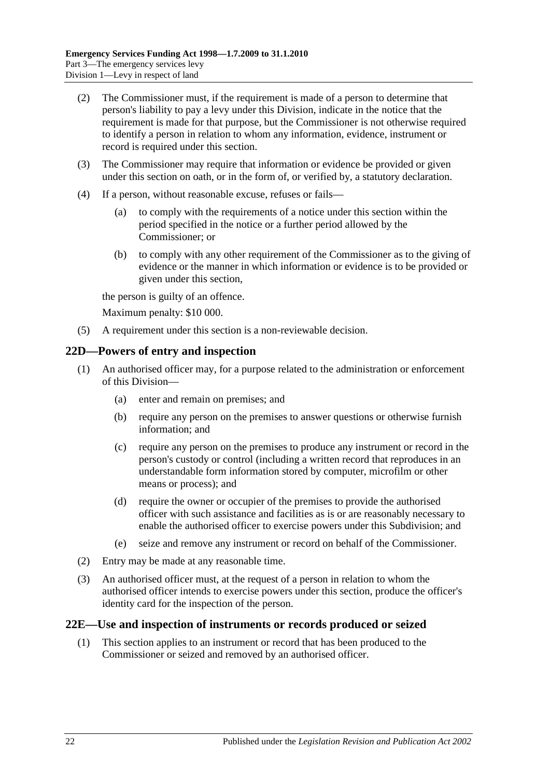- (2) The Commissioner must, if the requirement is made of a person to determine that person's liability to pay a levy under this Division, indicate in the notice that the requirement is made for that purpose, but the Commissioner is not otherwise required to identify a person in relation to whom any information, evidence, instrument or record is required under this section.
- (3) The Commissioner may require that information or evidence be provided or given under this section on oath, or in the form of, or verified by, a statutory declaration.
- (4) If a person, without reasonable excuse, refuses or fails—
	- (a) to comply with the requirements of a notice under this section within the period specified in the notice or a further period allowed by the Commissioner; or
	- (b) to comply with any other requirement of the Commissioner as to the giving of evidence or the manner in which information or evidence is to be provided or given under this section,

the person is guilty of an offence.

Maximum penalty: \$10 000.

(5) A requirement under this section is a non-reviewable decision.

## <span id="page-21-0"></span>**22D—Powers of entry and inspection**

- (1) An authorised officer may, for a purpose related to the administration or enforcement of this Division—
	- (a) enter and remain on premises; and
	- (b) require any person on the premises to answer questions or otherwise furnish information; and
	- (c) require any person on the premises to produce any instrument or record in the person's custody or control (including a written record that reproduces in an understandable form information stored by computer, microfilm or other means or process); and
	- (d) require the owner or occupier of the premises to provide the authorised officer with such assistance and facilities as is or are reasonably necessary to enable the authorised officer to exercise powers under this Subdivision; and
	- (e) seize and remove any instrument or record on behalf of the Commissioner.
- (2) Entry may be made at any reasonable time.
- (3) An authorised officer must, at the request of a person in relation to whom the authorised officer intends to exercise powers under this section, produce the officer's identity card for the inspection of the person.

## <span id="page-21-1"></span>**22E—Use and inspection of instruments or records produced or seized**

(1) This section applies to an instrument or record that has been produced to the Commissioner or seized and removed by an authorised officer.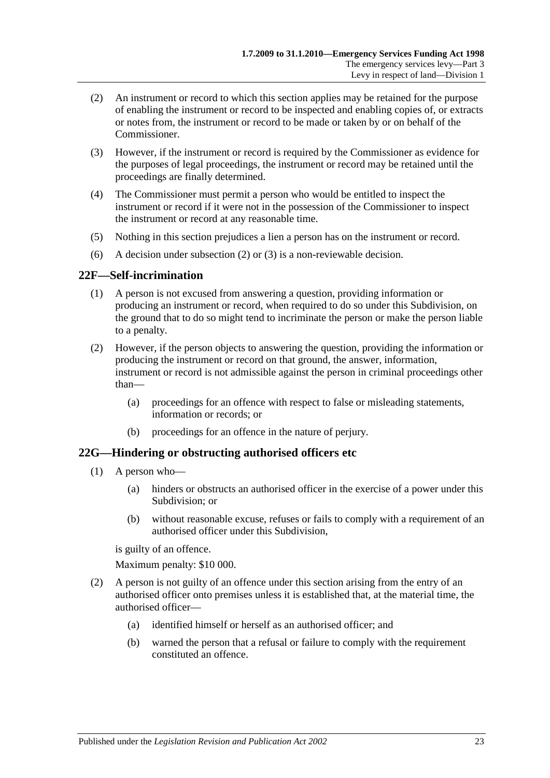- <span id="page-22-2"></span>(2) An instrument or record to which this section applies may be retained for the purpose of enabling the instrument or record to be inspected and enabling copies of, or extracts or notes from, the instrument or record to be made or taken by or on behalf of the Commissioner.
- <span id="page-22-3"></span>(3) However, if the instrument or record is required by the Commissioner as evidence for the purposes of legal proceedings, the instrument or record may be retained until the proceedings are finally determined.
- (4) The Commissioner must permit a person who would be entitled to inspect the instrument or record if it were not in the possession of the Commissioner to inspect the instrument or record at any reasonable time.
- (5) Nothing in this section prejudices a lien a person has on the instrument or record.
- (6) A decision under [subsection](#page-22-2) (2) or [\(3\)](#page-22-3) is a non-reviewable decision.

## <span id="page-22-0"></span>**22F—Self-incrimination**

- (1) A person is not excused from answering a question, providing information or producing an instrument or record, when required to do so under this Subdivision, on the ground that to do so might tend to incriminate the person or make the person liable to a penalty.
- (2) However, if the person objects to answering the question, providing the information or producing the instrument or record on that ground, the answer, information, instrument or record is not admissible against the person in criminal proceedings other than—
	- (a) proceedings for an offence with respect to false or misleading statements, information or records; or
	- (b) proceedings for an offence in the nature of perjury.

#### <span id="page-22-1"></span>**22G—Hindering or obstructing authorised officers etc**

- (1) A person who—
	- (a) hinders or obstructs an authorised officer in the exercise of a power under this Subdivision; or
	- (b) without reasonable excuse, refuses or fails to comply with a requirement of an authorised officer under this Subdivision,

is guilty of an offence.

Maximum penalty: \$10 000.

- (2) A person is not guilty of an offence under this section arising from the entry of an authorised officer onto premises unless it is established that, at the material time, the authorised officer—
	- (a) identified himself or herself as an authorised officer; and
	- (b) warned the person that a refusal or failure to comply with the requirement constituted an offence.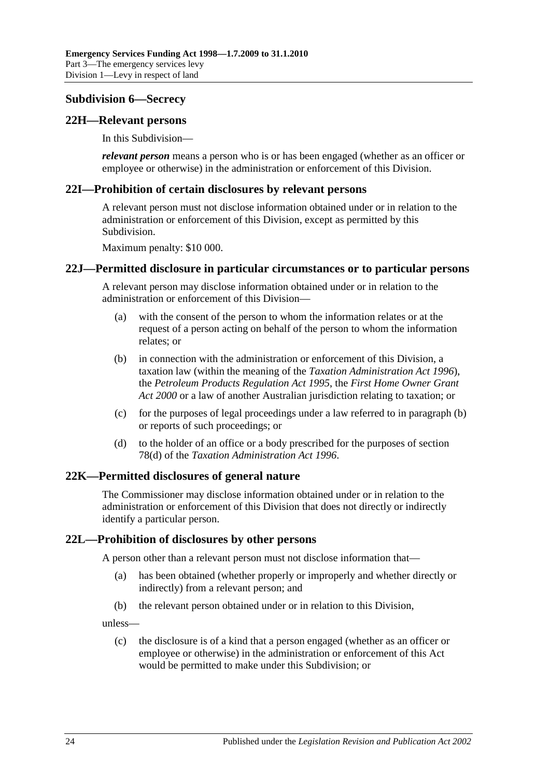## <span id="page-23-0"></span>**Subdivision 6—Secrecy**

## <span id="page-23-1"></span>**22H—Relevant persons**

In this Subdivision—

*relevant person* means a person who is or has been engaged (whether as an officer or employee or otherwise) in the administration or enforcement of this Division.

#### <span id="page-23-2"></span>**22I—Prohibition of certain disclosures by relevant persons**

A relevant person must not disclose information obtained under or in relation to the administration or enforcement of this Division, except as permitted by this Subdivision.

Maximum penalty: \$10 000.

#### <span id="page-23-3"></span>**22J—Permitted disclosure in particular circumstances or to particular persons**

A relevant person may disclose information obtained under or in relation to the administration or enforcement of this Division—

- (a) with the consent of the person to whom the information relates or at the request of a person acting on behalf of the person to whom the information relates; or
- <span id="page-23-6"></span>(b) in connection with the administration or enforcement of this Division, a taxation law (within the meaning of the *[Taxation Administration Act](http://www.legislation.sa.gov.au/index.aspx?action=legref&type=act&legtitle=Taxation%20Administration%20Act%201996) 1996*), the *[Petroleum Products Regulation Act](http://www.legislation.sa.gov.au/index.aspx?action=legref&type=act&legtitle=Petroleum%20Products%20Regulation%20Act%201995) 1995*, the *[First Home Owner Grant](http://www.legislation.sa.gov.au/index.aspx?action=legref&type=act&legtitle=First%20Home%20Owner%20Grant%20Act%202000)  Act [2000](http://www.legislation.sa.gov.au/index.aspx?action=legref&type=act&legtitle=First%20Home%20Owner%20Grant%20Act%202000)* or a law of another Australian jurisdiction relating to taxation; or
- (c) for the purposes of legal proceedings under a law referred to in [paragraph](#page-23-6) (b) or reports of such proceedings; or
- (d) to the holder of an office or a body prescribed for the purposes of section 78(d) of the *[Taxation Administration Act](http://www.legislation.sa.gov.au/index.aspx?action=legref&type=act&legtitle=Taxation%20Administration%20Act%201996) 1996*.

## <span id="page-23-4"></span>**22K—Permitted disclosures of general nature**

The Commissioner may disclose information obtained under or in relation to the administration or enforcement of this Division that does not directly or indirectly identify a particular person.

## <span id="page-23-5"></span>**22L—Prohibition of disclosures by other persons**

A person other than a relevant person must not disclose information that—

- (a) has been obtained (whether properly or improperly and whether directly or indirectly) from a relevant person; and
- (b) the relevant person obtained under or in relation to this Division,

unless—

(c) the disclosure is of a kind that a person engaged (whether as an officer or employee or otherwise) in the administration or enforcement of this Act would be permitted to make under this Subdivision; or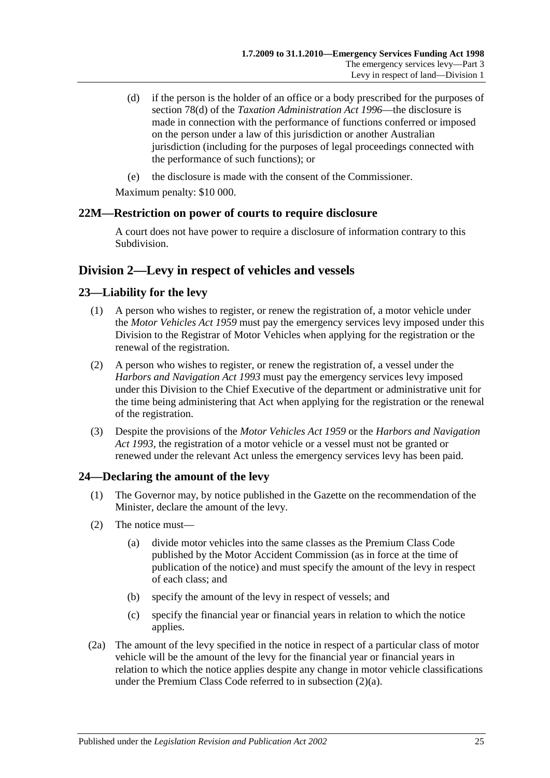- (d) if the person is the holder of an office or a body prescribed for the purposes of section 78(d) of the *[Taxation Administration Act](http://www.legislation.sa.gov.au/index.aspx?action=legref&type=act&legtitle=Taxation%20Administration%20Act%201996) 1996*—the disclosure is made in connection with the performance of functions conferred or imposed on the person under a law of this jurisdiction or another Australian jurisdiction (including for the purposes of legal proceedings connected with the performance of such functions); or
- (e) the disclosure is made with the consent of the Commissioner.

Maximum penalty: \$10 000.

## <span id="page-24-0"></span>**22M—Restriction on power of courts to require disclosure**

A court does not have power to require a disclosure of information contrary to this Subdivision.

## <span id="page-24-1"></span>**Division 2—Levy in respect of vehicles and vessels**

## <span id="page-24-2"></span>**23—Liability for the levy**

- (1) A person who wishes to register, or renew the registration of, a motor vehicle under the *[Motor Vehicles Act](http://www.legislation.sa.gov.au/index.aspx?action=legref&type=act&legtitle=Motor%20Vehicles%20Act%201959) 1959* must pay the emergency services levy imposed under this Division to the Registrar of Motor Vehicles when applying for the registration or the renewal of the registration.
- (2) A person who wishes to register, or renew the registration of, a vessel under the *[Harbors and Navigation Act](http://www.legislation.sa.gov.au/index.aspx?action=legref&type=act&legtitle=Harbors%20and%20Navigation%20Act%201993) 1993* must pay the emergency services levy imposed under this Division to the Chief Executive of the department or administrative unit for the time being administering that Act when applying for the registration or the renewal of the registration.
- (3) Despite the provisions of the *[Motor Vehicles Act](http://www.legislation.sa.gov.au/index.aspx?action=legref&type=act&legtitle=Motor%20Vehicles%20Act%201959) 1959* or the *[Harbors and Navigation](http://www.legislation.sa.gov.au/index.aspx?action=legref&type=act&legtitle=Harbors%20and%20Navigation%20Act%201993)  Act [1993](http://www.legislation.sa.gov.au/index.aspx?action=legref&type=act&legtitle=Harbors%20and%20Navigation%20Act%201993)*, the registration of a motor vehicle or a vessel must not be granted or renewed under the relevant Act unless the emergency services levy has been paid.

## <span id="page-24-5"></span><span id="page-24-3"></span>**24—Declaring the amount of the levy**

- (1) The Governor may, by notice published in the Gazette on the recommendation of the Minister, declare the amount of the levy.
- <span id="page-24-4"></span>(2) The notice must—
	- (a) divide motor vehicles into the same classes as the Premium Class Code published by the Motor Accident Commission (as in force at the time of publication of the notice) and must specify the amount of the levy in respect of each class; and
	- (b) specify the amount of the levy in respect of vessels; and
	- (c) specify the financial year or financial years in relation to which the notice applies.
- (2a) The amount of the levy specified in the notice in respect of a particular class of motor vehicle will be the amount of the levy for the financial year or financial years in relation to which the notice applies despite any change in motor vehicle classifications under the Premium Class Code referred to in [subsection](#page-24-4) (2)(a).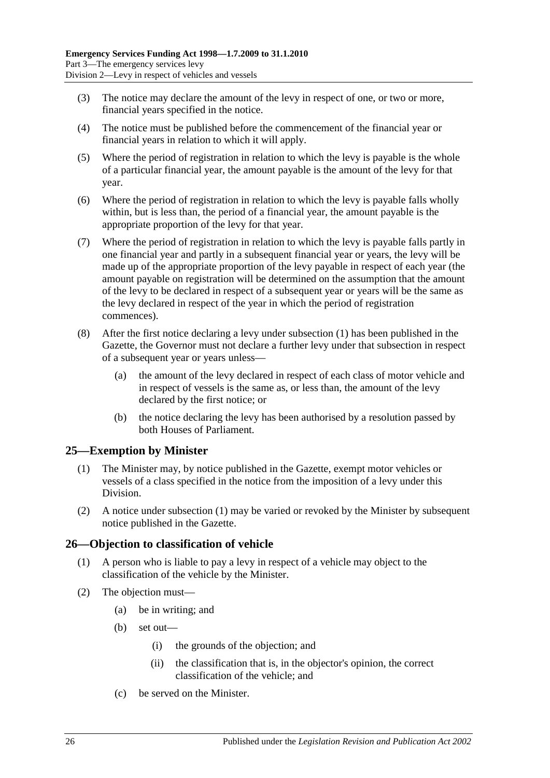- (3) The notice may declare the amount of the levy in respect of one, or two or more, financial years specified in the notice.
- (4) The notice must be published before the commencement of the financial year or financial years in relation to which it will apply.
- (5) Where the period of registration in relation to which the levy is payable is the whole of a particular financial year, the amount payable is the amount of the levy for that year.
- (6) Where the period of registration in relation to which the levy is payable falls wholly within, but is less than, the period of a financial year, the amount payable is the appropriate proportion of the levy for that year.
- (7) Where the period of registration in relation to which the levy is payable falls partly in one financial year and partly in a subsequent financial year or years, the levy will be made up of the appropriate proportion of the levy payable in respect of each year (the amount payable on registration will be determined on the assumption that the amount of the levy to be declared in respect of a subsequent year or years will be the same as the levy declared in respect of the year in which the period of registration commences).
- (8) After the first notice declaring a levy under [subsection](#page-24-5) (1) has been published in the Gazette, the Governor must not declare a further levy under that subsection in respect of a subsequent year or years unless—
	- (a) the amount of the levy declared in respect of each class of motor vehicle and in respect of vessels is the same as, or less than, the amount of the levy declared by the first notice; or
	- (b) the notice declaring the levy has been authorised by a resolution passed by both Houses of Parliament.

## <span id="page-25-2"></span><span id="page-25-0"></span>**25—Exemption by Minister**

- (1) The Minister may, by notice published in the Gazette, exempt motor vehicles or vessels of a class specified in the notice from the imposition of a levy under this Division.
- (2) A notice under [subsection](#page-25-2) (1) may be varied or revoked by the Minister by subsequent notice published in the Gazette.

## <span id="page-25-1"></span>**26—Objection to classification of vehicle**

- (1) A person who is liable to pay a levy in respect of a vehicle may object to the classification of the vehicle by the Minister.
- (2) The objection must—
	- (a) be in writing; and
	- (b) set out—
		- (i) the grounds of the objection; and
		- (ii) the classification that is, in the objector's opinion, the correct classification of the vehicle; and
	- (c) be served on the Minister.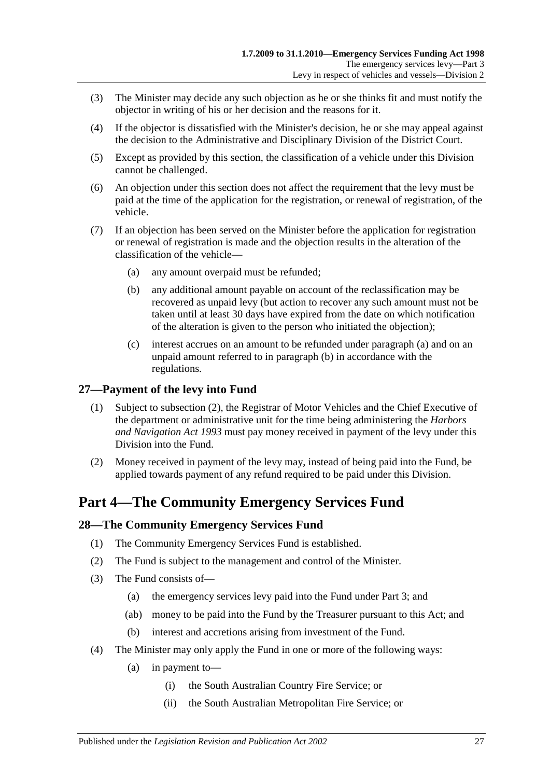- (3) The Minister may decide any such objection as he or she thinks fit and must notify the objector in writing of his or her decision and the reasons for it.
- (4) If the objector is dissatisfied with the Minister's decision, he or she may appeal against the decision to the Administrative and Disciplinary Division of the District Court.
- (5) Except as provided by this section, the classification of a vehicle under this Division cannot be challenged.
- (6) An objection under this section does not affect the requirement that the levy must be paid at the time of the application for the registration, or renewal of registration, of the vehicle.
- <span id="page-26-5"></span><span id="page-26-4"></span>(7) If an objection has been served on the Minister before the application for registration or renewal of registration is made and the objection results in the alteration of the classification of the vehicle—
	- (a) any amount overpaid must be refunded;
	- (b) any additional amount payable on account of the reclassification may be recovered as unpaid levy (but action to recover any such amount must not be taken until at least 30 days have expired from the date on which notification of the alteration is given to the person who initiated the objection);
	- (c) interest accrues on an amount to be refunded under [paragraph](#page-26-4) (a) and on an unpaid amount referred to in [paragraph](#page-26-5) (b) in accordance with the regulations.

## <span id="page-26-0"></span>**27—Payment of the levy into Fund**

- (1) Subject to [subsection](#page-26-6) (2), the Registrar of Motor Vehicles and the Chief Executive of the department or administrative unit for the time being administering the *[Harbors](http://www.legislation.sa.gov.au/index.aspx?action=legref&type=act&legtitle=Harbors%20and%20Navigation%20Act%201993)  [and Navigation Act](http://www.legislation.sa.gov.au/index.aspx?action=legref&type=act&legtitle=Harbors%20and%20Navigation%20Act%201993) 1993* must pay money received in payment of the levy under this Division into the Fund.
- <span id="page-26-6"></span>(2) Money received in payment of the levy may, instead of being paid into the Fund, be applied towards payment of any refund required to be paid under this Division.

## <span id="page-26-1"></span>**Part 4—The Community Emergency Services Fund**

## <span id="page-26-2"></span>**28—The Community Emergency Services Fund**

- (1) The Community Emergency Services Fund is established.
- (2) The Fund is subject to the management and control of the Minister.
- (3) The Fund consists of—
	- (a) the emergency services levy paid into the Fund under [Part 3;](#page-4-1) and
	- (ab) money to be paid into the Fund by the Treasurer pursuant to this Act; and
	- (b) interest and accretions arising from investment of the Fund.
- <span id="page-26-3"></span>(4) The Minister may only apply the Fund in one or more of the following ways:
	- (a) in payment to—
		- (i) the South Australian Country Fire Service; or
		- (ii) the South Australian Metropolitan Fire Service; or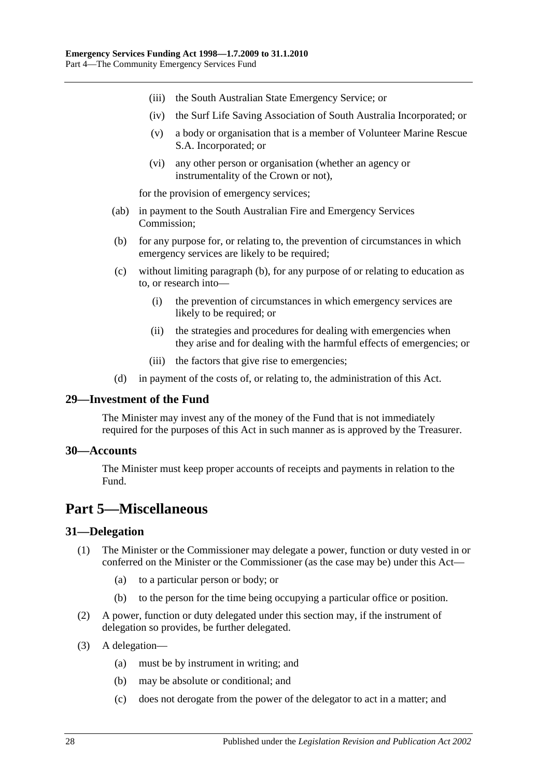- (iii) the South Australian State Emergency Service; or
- (iv) the Surf Life Saving Association of South Australia Incorporated; or
- (v) a body or organisation that is a member of Volunteer Marine Rescue S.A. Incorporated; or
- (vi) any other person or organisation (whether an agency or instrumentality of the Crown or not),

for the provision of emergency services;

- (ab) in payment to the South Australian Fire and Emergency Services Commission;
- <span id="page-27-4"></span>(b) for any purpose for, or relating to, the prevention of circumstances in which emergency services are likely to be required;
- (c) without limiting [paragraph](#page-27-4) (b), for any purpose of or relating to education as to, or research into—
	- (i) the prevention of circumstances in which emergency services are likely to be required; or
	- (ii) the strategies and procedures for dealing with emergencies when they arise and for dealing with the harmful effects of emergencies; or
	- (iii) the factors that give rise to emergencies;
- (d) in payment of the costs of, or relating to, the administration of this Act.

#### <span id="page-27-0"></span>**29—Investment of the Fund**

The Minister may invest any of the money of the Fund that is not immediately required for the purposes of this Act in such manner as is approved by the Treasurer.

#### <span id="page-27-1"></span>**30—Accounts**

The Minister must keep proper accounts of receipts and payments in relation to the Fund.

## <span id="page-27-2"></span>**Part 5—Miscellaneous**

#### <span id="page-27-3"></span>**31—Delegation**

- (1) The Minister or the Commissioner may delegate a power, function or duty vested in or conferred on the Minister or the Commissioner (as the case may be) under this Act—
	- (a) to a particular person or body; or
	- (b) to the person for the time being occupying a particular office or position.
- (2) A power, function or duty delegated under this section may, if the instrument of delegation so provides, be further delegated.
- (3) A delegation—
	- (a) must be by instrument in writing; and
	- (b) may be absolute or conditional; and
	- (c) does not derogate from the power of the delegator to act in a matter; and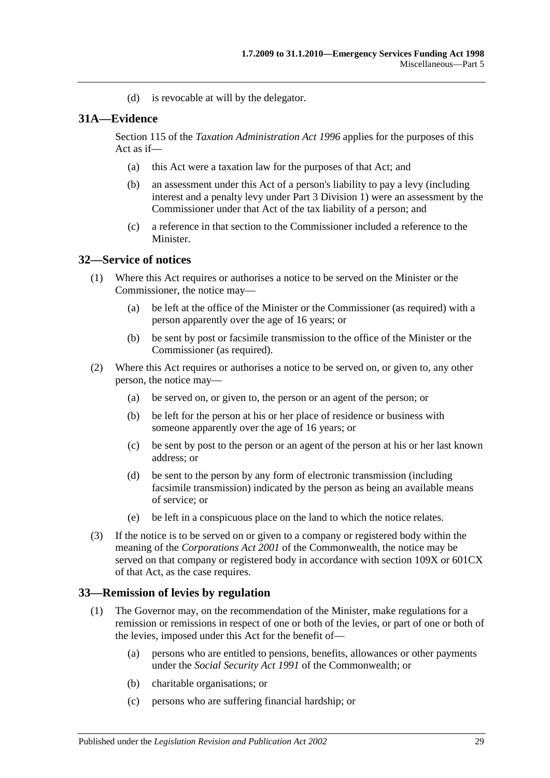(d) is revocable at will by the delegator.

#### <span id="page-28-0"></span>**31A—Evidence**

Section 115 of the *[Taxation Administration Act](http://www.legislation.sa.gov.au/index.aspx?action=legref&type=act&legtitle=Taxation%20Administration%20Act%201996) 1996* applies for the purposes of this Act as if—

- (a) this Act were a taxation law for the purposes of that Act; and
- (b) an assessment under this Act of a person's liability to pay a levy (including interest and a penalty levy under [Part 3 Division 1\)](#page-4-2) were an assessment by the Commissioner under that Act of the tax liability of a person; and
- (c) a reference in that section to the Commissioner included a reference to the Minister.

#### <span id="page-28-1"></span>**32—Service of notices**

- (1) Where this Act requires or authorises a notice to be served on the Minister or the Commissioner, the notice may—
	- (a) be left at the office of the Minister or the Commissioner (as required) with a person apparently over the age of 16 years; or
	- (b) be sent by post or facsimile transmission to the office of the Minister or the Commissioner (as required).
- (2) Where this Act requires or authorises a notice to be served on, or given to, any other person, the notice may—
	- (a) be served on, or given to, the person or an agent of the person; or
	- (b) be left for the person at his or her place of residence or business with someone apparently over the age of 16 years; or
	- (c) be sent by post to the person or an agent of the person at his or her last known address; or
	- (d) be sent to the person by any form of electronic transmission (including facsimile transmission) indicated by the person as being an available means of service; or
	- (e) be left in a conspicuous place on the land to which the notice relates.
- (3) If the notice is to be served on or given to a company or registered body within the meaning of the *Corporations Act 2001* of the Commonwealth, the notice may be served on that company or registered body in accordance with section 109X or 601CX of that Act, as the case requires.

#### <span id="page-28-3"></span><span id="page-28-2"></span>**33—Remission of levies by regulation**

- (1) The Governor may, on the recommendation of the Minister, make regulations for a remission or remissions in respect of one or both of the levies, or part of one or both of the levies, imposed under this Act for the benefit of—
	- (a) persons who are entitled to pensions, benefits, allowances or other payments under the *Social Security Act 1991* of the Commonwealth; or
	- (b) charitable organisations; or
	- (c) persons who are suffering financial hardship; or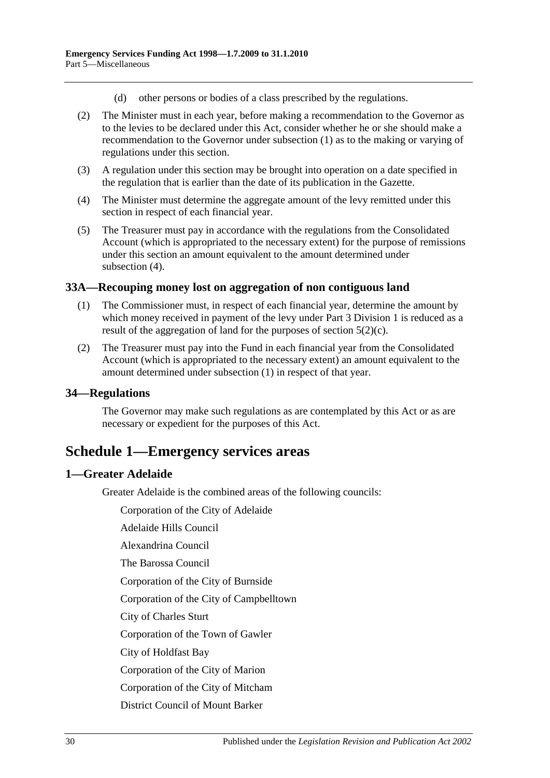- (d) other persons or bodies of a class prescribed by the regulations.
- (2) The Minister must in each year, before making a recommendation to the Governor as to the levies to be declared under this Act, consider whether he or she should make a recommendation to the Governor under [subsection](#page-28-3) (1) as to the making or varying of regulations under this section.
- (3) A regulation under this section may be brought into operation on a date specified in the regulation that is earlier than the date of its publication in the Gazette.
- <span id="page-29-4"></span>(4) The Minister must determine the aggregate amount of the levy remitted under this section in respect of each financial year.
- (5) The Treasurer must pay in accordance with the regulations from the Consolidated Account (which is appropriated to the necessary extent) for the purpose of remissions under this section an amount equivalent to the amount determined under [subsection](#page-29-4) (4).

#### <span id="page-29-5"></span><span id="page-29-0"></span>**33A—Recouping money lost on aggregation of non contiguous land**

- (1) The Commissioner must, in respect of each financial year, determine the amount by which money received in payment of the levy under [Part 3 Division 1](#page-4-2) is reduced as a result of the aggregation of land for the purposes of [section](#page-4-8)  $5(2)(c)$ .
- (2) The Treasurer must pay into the Fund in each financial year from the Consolidated Account (which is appropriated to the necessary extent) an amount equivalent to the amount determined under [subsection](#page-29-5) (1) in respect of that year.

#### <span id="page-29-1"></span>**34—Regulations**

The Governor may make such regulations as are contemplated by this Act or as are necessary or expedient for the purposes of this Act.

## <span id="page-29-2"></span>**Schedule 1—Emergency services areas**

## <span id="page-29-3"></span>**1—Greater Adelaide**

Greater Adelaide is the combined areas of the following councils:

Corporation of the City of Adelaide

Adelaide Hills Council

Alexandrina Council

The Barossa Council

Corporation of the City of Burnside

Corporation of the City of Campbelltown

City of Charles Sturt

Corporation of the Town of Gawler

City of Holdfast Bay

Corporation of the City of Marion

Corporation of the City of Mitcham

District Council of Mount Barker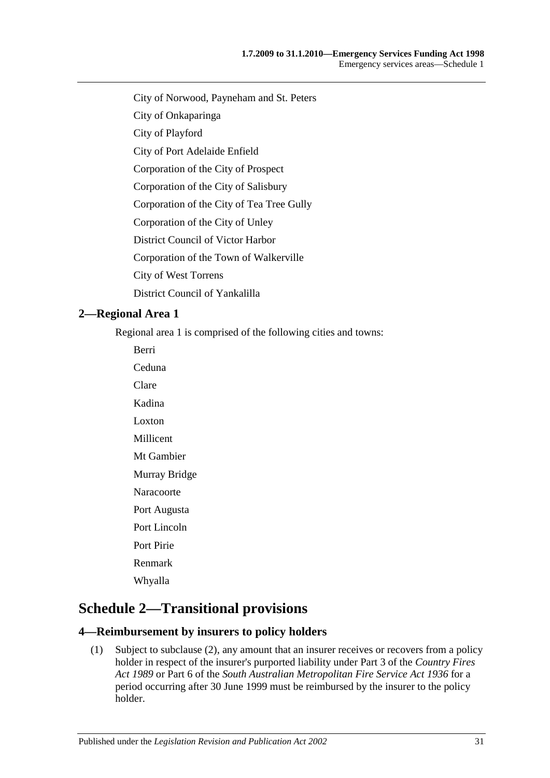- City of Norwood, Payneham and St. Peters
- City of Onkaparinga
- City of Playford
- City of Port Adelaide Enfield
- Corporation of the City of Prospect
- Corporation of the City of Salisbury
- Corporation of the City of Tea Tree Gully
- Corporation of the City of Unley
- District Council of Victor Harbor
- Corporation of the Town of Walkerville
- City of West Torrens
- District Council of Yankalilla

#### <span id="page-30-0"></span>**2—Regional Area 1**

Regional area 1 is comprised of the following cities and towns:

Berri Ceduna Clare Kadina Loxton Millicent Mt Gambier Murray Bridge Naracoorte Port Augusta Port Lincoln Port Pirie Renmark Whyalla

## <span id="page-30-1"></span>**Schedule 2—Transitional provisions**

#### <span id="page-30-3"></span><span id="page-30-2"></span>**4—Reimbursement by insurers to policy holders**

(1) Subject to [subclause](#page-31-2) (2), any amount that an insurer receives or recovers from a policy holder in respect of the insurer's purported liability under Part 3 of the *[Country Fires](http://www.legislation.sa.gov.au/index.aspx?action=legref&type=act&legtitle=Country%20Fires%20Act%201989)  Act [1989](http://www.legislation.sa.gov.au/index.aspx?action=legref&type=act&legtitle=Country%20Fires%20Act%201989)* or Part 6 of the *[South Australian Metropolitan Fire Service Act](http://www.legislation.sa.gov.au/index.aspx?action=legref&type=act&legtitle=South%20Australian%20Metropolitan%20Fire%20Service%20Act%201936) 1936* for a period occurring after 30 June 1999 must be reimbursed by the insurer to the policy holder.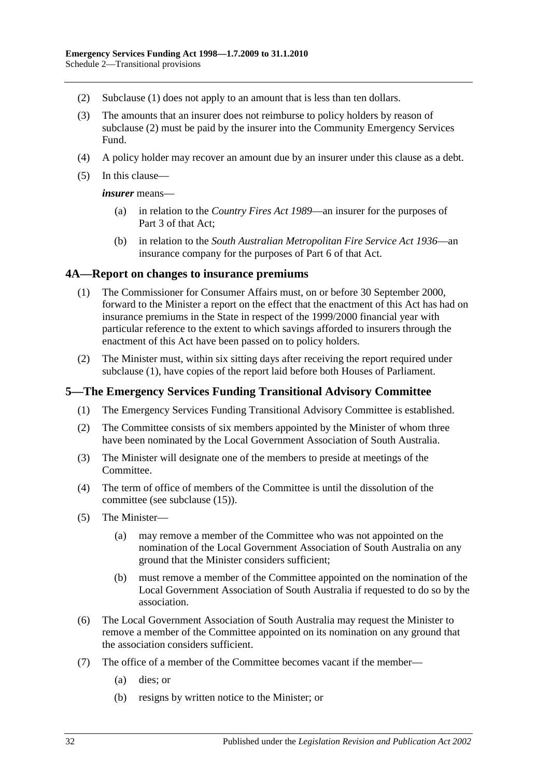- <span id="page-31-2"></span>(2) [Subclause](#page-30-3) (1) does not apply to an amount that is less than ten dollars.
- (3) The amounts that an insurer does not reimburse to policy holders by reason of [subclause](#page-31-2) (2) must be paid by the insurer into the Community Emergency Services Fund.
- (4) A policy holder may recover an amount due by an insurer under this clause as a debt.
- (5) In this clause—

*insurer* means—

- (a) in relation to the *[Country Fires Act](http://www.legislation.sa.gov.au/index.aspx?action=legref&type=act&legtitle=Country%20Fires%20Act%201989) 1989*—an insurer for the purposes of Part 3 of that Act;
- (b) in relation to the *[South Australian Metropolitan Fire Service Act](http://www.legislation.sa.gov.au/index.aspx?action=legref&type=act&legtitle=South%20Australian%20Metropolitan%20Fire%20Service%20Act%201936) 1936*—an insurance company for the purposes of Part 6 of that Act.

#### <span id="page-31-3"></span><span id="page-31-0"></span>**4A—Report on changes to insurance premiums**

- (1) The Commissioner for Consumer Affairs must, on or before 30 September 2000, forward to the Minister a report on the effect that the enactment of this Act has had on insurance premiums in the State in respect of the 1999/2000 financial year with particular reference to the extent to which savings afforded to insurers through the enactment of this Act have been passed on to policy holders.
- (2) The Minister must, within six sitting days after receiving the report required under [subclause](#page-31-3) (1), have copies of the report laid before both Houses of Parliament.

#### <span id="page-31-1"></span>**5—The Emergency Services Funding Transitional Advisory Committee**

- (1) The Emergency Services Funding Transitional Advisory Committee is established.
- (2) The Committee consists of six members appointed by the Minister of whom three have been nominated by the Local Government Association of South Australia.
- (3) The Minister will designate one of the members to preside at meetings of the Committee.
- (4) The term of office of members of the Committee is until the dissolution of the committee (see [subclause](#page-32-1) (15)).
- <span id="page-31-4"></span>(5) The Minister—
	- (a) may remove a member of the Committee who was not appointed on the nomination of the Local Government Association of South Australia on any ground that the Minister considers sufficient;
	- (b) must remove a member of the Committee appointed on the nomination of the Local Government Association of South Australia if requested to do so by the association.
- (6) The Local Government Association of South Australia may request the Minister to remove a member of the Committee appointed on its nomination on any ground that the association considers sufficient.
- (7) The office of a member of the Committee becomes vacant if the member—
	- (a) dies; or
	- (b) resigns by written notice to the Minister; or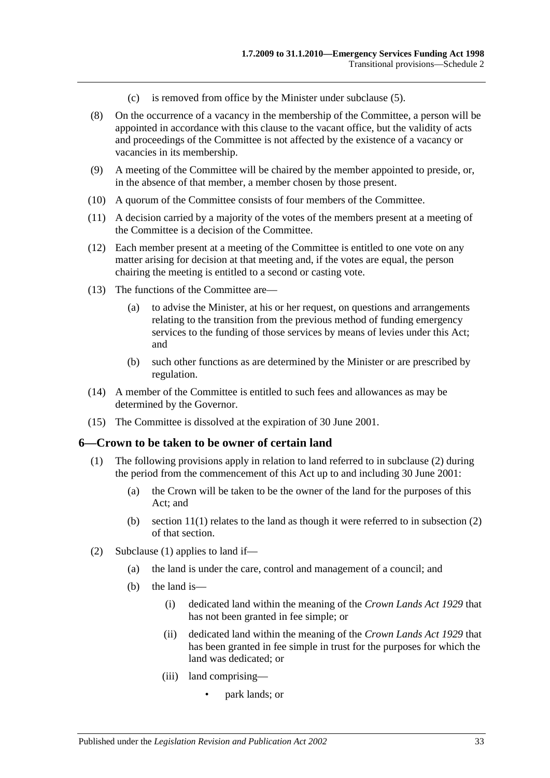- (c) is removed from office by the Minister under [subclause](#page-31-4) (5).
- (8) On the occurrence of a vacancy in the membership of the Committee, a person will be appointed in accordance with this clause to the vacant office, but the validity of acts and proceedings of the Committee is not affected by the existence of a vacancy or vacancies in its membership.
- (9) A meeting of the Committee will be chaired by the member appointed to preside, or, in the absence of that member, a member chosen by those present.
- (10) A quorum of the Committee consists of four members of the Committee.
- (11) A decision carried by a majority of the votes of the members present at a meeting of the Committee is a decision of the Committee.
- (12) Each member present at a meeting of the Committee is entitled to one vote on any matter arising for decision at that meeting and, if the votes are equal, the person chairing the meeting is entitled to a second or casting vote.
- (13) The functions of the Committee are—
	- (a) to advise the Minister, at his or her request, on questions and arrangements relating to the transition from the previous method of funding emergency services to the funding of those services by means of levies under this Act; and
	- (b) such other functions as are determined by the Minister or are prescribed by regulation.
- (14) A member of the Committee is entitled to such fees and allowances as may be determined by the Governor.
- <span id="page-32-1"></span>(15) The Committee is dissolved at the expiration of 30 June 2001.

#### <span id="page-32-3"></span><span id="page-32-0"></span>**6—Crown to be taken to be owner of certain land**

- (1) The following provisions apply in relation to land referred to in [subclause](#page-32-2) (2) during the period from the commencement of this Act up to and including 30 June 2001:
	- (a) the Crown will be taken to be the owner of the land for the purposes of this Act; and
	- (b) section  $11(1)$  relates to the land as though it were referred to in subsection (2) of that section.
- <span id="page-32-2"></span>(2) [Subclause](#page-32-3) (1) applies to land if—
	- (a) the land is under the care, control and management of a council; and
	- (b) the land is—
		- (i) dedicated land within the meaning of the *[Crown Lands Act](http://www.legislation.sa.gov.au/index.aspx?action=legref&type=act&legtitle=Crown%20Lands%20Act%201929) 1929* that has not been granted in fee simple; or
		- (ii) dedicated land within the meaning of the *[Crown Lands Act](http://www.legislation.sa.gov.au/index.aspx?action=legref&type=act&legtitle=Crown%20Lands%20Act%201929) 1929* that has been granted in fee simple in trust for the purposes for which the land was dedicated; or
		- (iii) land comprising—
			- park lands; or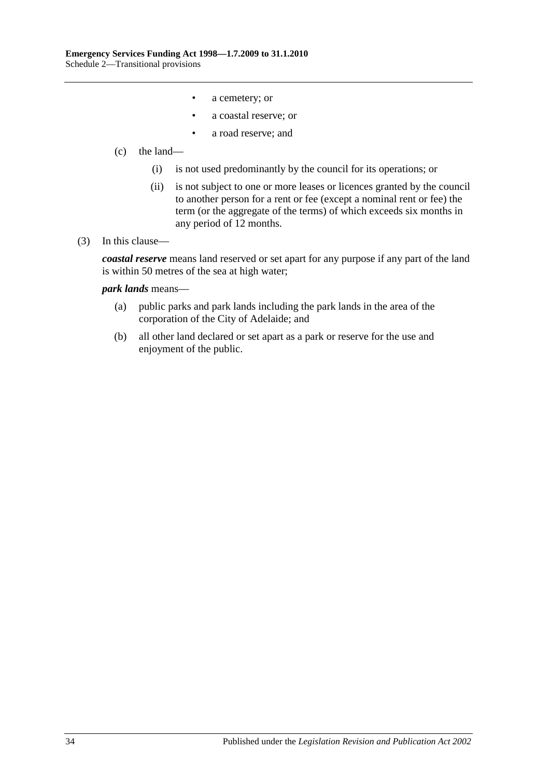- a cemetery; or
- a coastal reserve; or
- a road reserve; and

#### (c) the land—

- (i) is not used predominantly by the council for its operations; or
- (ii) is not subject to one or more leases or licences granted by the council to another person for a rent or fee (except a nominal rent or fee) the term (or the aggregate of the terms) of which exceeds six months in any period of 12 months.

#### (3) In this clause—

*coastal reserve* means land reserved or set apart for any purpose if any part of the land is within 50 metres of the sea at high water;

#### *park lands* means—

- (a) public parks and park lands including the park lands in the area of the corporation of the City of Adelaide; and
- (b) all other land declared or set apart as a park or reserve for the use and enjoyment of the public.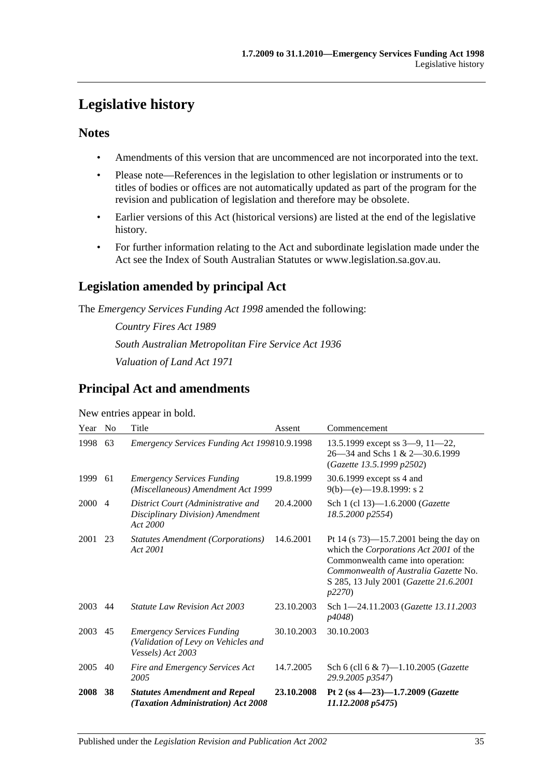## <span id="page-34-0"></span>**Legislative history**

## **Notes**

- Amendments of this version that are uncommenced are not incorporated into the text.
- Please note—References in the legislation to other legislation or instruments or to titles of bodies or offices are not automatically updated as part of the program for the revision and publication of legislation and therefore may be obsolete.
- Earlier versions of this Act (historical versions) are listed at the end of the legislative history.
- For further information relating to the Act and subordinate legislation made under the Act see the Index of South Australian Statutes or www.legislation.sa.gov.au.

## **Legislation amended by principal Act**

The *Emergency Services Funding Act 1998* amended the following:

*Country Fires Act 1989 South Australian Metropolitan Fire Service Act 1936 Valuation of Land Act 1971*

## **Principal Act and amendments**

| Year | N <sub>0</sub> | Title                                                                                         | Assent     | Commencement                                                                                                                                                                                                           |
|------|----------------|-----------------------------------------------------------------------------------------------|------------|------------------------------------------------------------------------------------------------------------------------------------------------------------------------------------------------------------------------|
| 1998 | 63             | Emergency Services Funding Act 199810.9.1998                                                  |            | 13.5.1999 except ss $3-9$ , $11-22$ ,<br>$26 - 34$ and Schs 1 & 2 $-30.6$ , 1999<br>(Gazette 13.5.1999 p2502)                                                                                                          |
| 1999 | 61             | <b>Emergency Services Funding</b><br>(Miscellaneous) Amendment Act 1999                       | 19.8.1999  | 30.6.1999 except ss 4 and<br>$9(b)$ —(e)—19.8.1999: s 2                                                                                                                                                                |
| 2000 | $\overline{4}$ | District Court (Administrative and<br>Disciplinary Division) Amendment<br>Act 2000            | 20.4.2000  | Sch 1 (cl 13)-1.6.2000 (Gazette<br>18.5.2000 p2554)                                                                                                                                                                    |
| 2001 | 23             | Statutes Amendment (Corporations)<br>Act 2001                                                 | 14.6.2001  | Pt 14 (s $73$ )—15.7.2001 being the day on<br>which the Corporations Act 2001 of the<br>Commonwealth came into operation:<br>Commonwealth of Australia Gazette No.<br>S 285, 13 July 2001 (Gazette 21.6.2001<br>p2270) |
| 2003 | 44             | <i>Statute Law Revision Act 2003</i>                                                          | 23.10.2003 | Sch 1-24.11.2003 (Gazette 13.11.2003)<br>p4048)                                                                                                                                                                        |
| 2003 | 45             | <b>Emergency Services Funding</b><br>(Validation of Levy on Vehicles and<br>Vessels) Act 2003 | 30.10.2003 | 30.10.2003                                                                                                                                                                                                             |
| 2005 | 40             | Fire and Emergency Services Act<br>2005                                                       | 14.7.2005  | Sch 6 (cll 6 & 7)-1.10.2005 (Gazette<br>29.9.2005 p3547)                                                                                                                                                               |
| 2008 | 38             | <b>Statutes Amendment and Repeal</b><br>(Taxation Administration) Act 2008                    | 23.10.2008 | Pt 2 (ss $4 - 23 - 1.7.2009$ (Gazette<br>11.12.2008 p5475                                                                                                                                                              |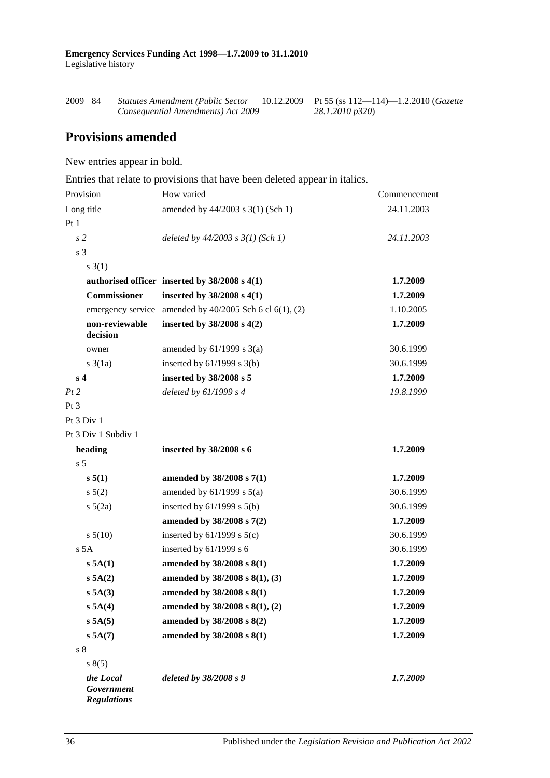| 2009 84 | Statutes Amendment (Public Sector  | 10.12.2009 Pt 55 (ss 112—114)—1.2.2010 (Gazette |
|---------|------------------------------------|-------------------------------------------------|
|         | Consequential Amendments) Act 2009 | 28.1.2010 p320)                                 |

## **Provisions amended**

New entries appear in bold.

Entries that relate to provisions that have been deleted appear in italics.

| Provision                                     | How varied                                                | Commencement |
|-----------------------------------------------|-----------------------------------------------------------|--------------|
| Long title                                    | amended by 44/2003 s 3(1) (Sch 1)                         | 24.11.2003   |
| Pt1                                           |                                                           |              |
| s <sub>2</sub>                                | deleted by $44/2003$ s $3(1)$ (Sch 1)                     | 24.11.2003   |
| s 3                                           |                                                           |              |
| $s \, 3(1)$                                   |                                                           |              |
|                                               | authorised officer inserted by 38/2008 s 4(1)             | 1.7.2009     |
| <b>Commissioner</b>                           | inserted by $38/2008$ s 4(1)                              | 1.7.2009     |
|                                               | emergency service amended by $40/2005$ Sch 6 cl 6(1), (2) | 1.10.2005    |
| non-reviewable<br>decision                    | inserted by $38/2008$ s $4(2)$                            | 1.7.2009     |
| owner                                         | amended by $61/1999$ s $3(a)$                             | 30.6.1999    |
| $s \cdot 3(1a)$                               | inserted by $61/1999$ s $3(b)$                            | 30.6.1999    |
| s <sub>4</sub>                                | inserted by 38/2008 s 5                                   | 1.7.2009     |
| Pt2                                           | deleted by $61/1999 s 4$                                  | 19.8.1999    |
| Pt <sub>3</sub>                               |                                                           |              |
| Pt 3 Div 1                                    |                                                           |              |
| Pt 3 Div 1 Subdiv 1                           |                                                           |              |
| heading                                       | inserted by 38/2008 s 6                                   | 1.7.2009     |
| s <sub>5</sub>                                |                                                           |              |
| s 5(1)                                        | amended by 38/2008 s 7(1)                                 | 1.7.2009     |
| s 5(2)                                        | amended by $61/1999$ s $5(a)$                             | 30.6.1999    |
| $s\ 5(2a)$                                    | inserted by $61/1999$ s $5(b)$                            | 30.6.1999    |
|                                               | amended by 38/2008 s 7(2)                                 | 1.7.2009     |
| s 5(10)                                       | inserted by $61/1999$ s $5(c)$                            | 30.6.1999    |
| s 5A                                          | inserted by $61/1999$ s 6                                 | 30.6.1999    |
| s 5A(1)                                       | amended by 38/2008 s 8(1)                                 | 1.7.2009     |
| s 5A(2)                                       | amended by 38/2008 s 8(1), (3)                            | 1.7.2009     |
| s 5A(3)                                       | amended by 38/2008 s 8(1)                                 | 1.7.2009     |
| s 5A(4)                                       | amended by 38/2008 s 8(1), (2)                            | 1.7.2009     |
| s 5A(5)                                       | amended by 38/2008 s 8(2)                                 | 1.7.2009     |
| s 5A(7)                                       | amended by 38/2008 s 8(1)                                 | 1.7.2009     |
| s <sub>8</sub>                                |                                                           |              |
| s(5)                                          |                                                           |              |
| the Local<br>Government<br><b>Regulations</b> | deleted by 38/2008 s 9                                    | 1.7.2009     |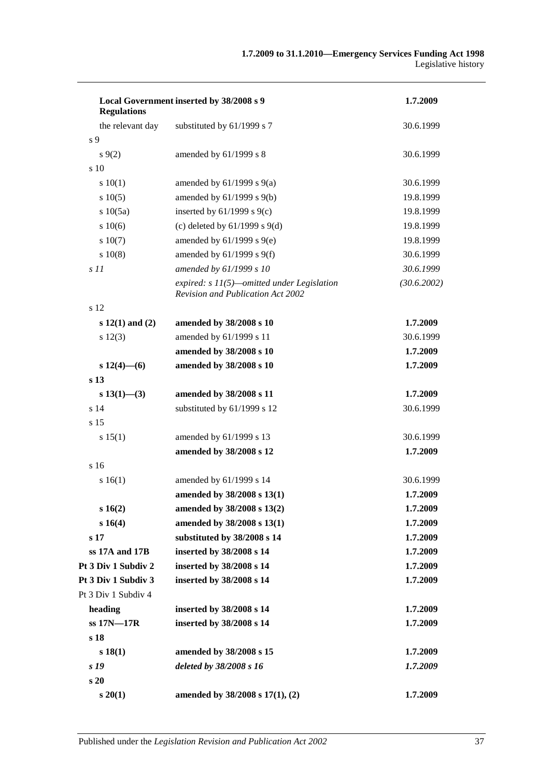| Local Government inserted by 38/2008 s 9<br><b>Regulations</b> | 1.7.2009                                                                                 |             |
|----------------------------------------------------------------|------------------------------------------------------------------------------------------|-------------|
| the relevant day                                               | substituted by 61/1999 s 7                                                               | 30.6.1999   |
| s 9                                                            |                                                                                          |             |
| $s\,9(2)$                                                      | amended by 61/1999 s 8                                                                   | 30.6.1999   |
| s <sub>10</sub>                                                |                                                                                          |             |
| 10(1)                                                          | amended by $61/1999$ s $9(a)$                                                            | 30.6.1999   |
| s 10(5)                                                        | amended by 61/1999 s 9(b)                                                                | 19.8.1999   |
| s 10(5a)                                                       | inserted by $61/1999$ s $9(c)$                                                           | 19.8.1999   |
| 10(6)                                                          | (c) deleted by $61/1999$ s $9(d)$                                                        | 19.8.1999   |
| s 10(7)                                                        | amended by $61/1999$ s $9(e)$                                                            | 19.8.1999   |
| s 10(8)                                                        | amended by $61/1999$ s $9(f)$                                                            | 30.6.1999   |
| s11                                                            | amended by 61/1999 s 10                                                                  | 30.6.1999   |
|                                                                | expired: $s$ 11(5)—omitted under Legislation<br><b>Revision and Publication Act 2002</b> | (30.6.2002) |
| s 12                                                           |                                                                                          |             |
| $s 12(1)$ and $(2)$                                            | amended by 38/2008 s 10                                                                  | 1.7.2009    |
| $s\ 12(3)$                                                     | amended by 61/1999 s 11                                                                  | 30.6.1999   |
|                                                                | amended by 38/2008 s 10                                                                  | 1.7.2009    |
| $s 12(4)$ - (6)                                                | amended by 38/2008 s 10                                                                  | 1.7.2009    |
| s <sub>13</sub>                                                |                                                                                          |             |
| $s 13(1)$ - (3)                                                | amended by 38/2008 s 11                                                                  | 1.7.2009    |
| s <sub>14</sub>                                                | substituted by 61/1999 s 12                                                              | 30.6.1999   |
| s 15                                                           |                                                                                          |             |
| s 15(1)                                                        | amended by 61/1999 s 13                                                                  | 30.6.1999   |
|                                                                | amended by 38/2008 s 12                                                                  | 1.7.2009    |
| s <sub>16</sub>                                                |                                                                                          |             |
| s 16(1)                                                        | amended by 61/1999 s 14                                                                  | 30.6.1999   |
|                                                                | amended by 38/2008 s 13(1)                                                               | 1.7.2009    |
| s16(2)                                                         | amended by 38/2008 s 13(2)                                                               | 1.7.2009    |
| s 16(4)                                                        | amended by 38/2008 s 13(1)                                                               | 1.7.2009    |
| s <sub>17</sub>                                                | substituted by 38/2008 s 14                                                              | 1.7.2009    |
| ss 17A and 17B                                                 | inserted by 38/2008 s 14                                                                 | 1.7.2009    |
| Pt 3 Div 1 Subdiv 2                                            | inserted by 38/2008 s 14                                                                 | 1.7.2009    |
| Pt 3 Div 1 Subdiv 3                                            | inserted by 38/2008 s 14                                                                 | 1.7.2009    |
| Pt 3 Div 1 Subdiv 4                                            |                                                                                          |             |
| heading                                                        | inserted by 38/2008 s 14                                                                 | 1.7.2009    |
| ss 17N-17R                                                     | inserted by 38/2008 s 14                                                                 | 1.7.2009    |
| s 18                                                           |                                                                                          |             |
| s 18(1)                                                        | amended by 38/2008 s 15                                                                  | 1.7.2009    |
| s 19                                                           | deleted by 38/2008 s 16                                                                  | 1.7.2009    |
| s 20                                                           |                                                                                          |             |
| s 20(1)                                                        | amended by 38/2008 s 17(1), (2)                                                          | 1.7.2009    |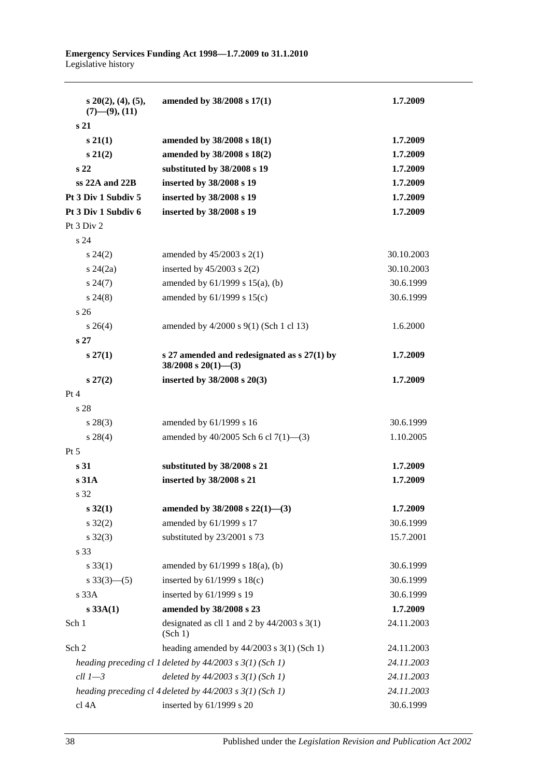| $s$ 20(2), (4), (5),<br>$(7)$ — $(9)$ , $(11)$ | amended by 38/2008 s 17(1)                                                | 1.7.2009   |
|------------------------------------------------|---------------------------------------------------------------------------|------------|
| s <sub>21</sub>                                |                                                                           |            |
| $s\,21(1)$                                     | amended by 38/2008 s 18(1)                                                | 1.7.2009   |
| $s\,21(2)$                                     | amended by 38/2008 s 18(2)                                                | 1.7.2009   |
| s <sub>22</sub>                                | substituted by 38/2008 s 19                                               | 1.7.2009   |
| $ss$ 22A and 22B                               | inserted by 38/2008 s 19                                                  | 1.7.2009   |
| Pt 3 Div 1 Subdiv 5                            | inserted by 38/2008 s 19                                                  | 1.7.2009   |
| Pt 3 Div 1 Subdiv 6                            | inserted by 38/2008 s 19                                                  | 1.7.2009   |
| Pt 3 Div 2                                     |                                                                           |            |
| s 24                                           |                                                                           |            |
| $s\,24(2)$                                     | amended by $45/2003$ s $2(1)$                                             | 30.10.2003 |
| $s\,24(2a)$                                    | inserted by $45/2003$ s $2(2)$                                            | 30.10.2003 |
| $s\,24(7)$                                     | amended by $61/1999$ s $15(a)$ , (b)                                      | 30.6.1999  |
| $s\,24(8)$                                     | amended by $61/1999$ s $15(c)$                                            | 30.6.1999  |
| s <sub>26</sub>                                |                                                                           |            |
| $s \; 26(4)$                                   | amended by 4/2000 s 9(1) (Sch 1 cl 13)                                    | 1.6.2000   |
| s <sub>27</sub>                                |                                                                           |            |
| $s\,27(1)$                                     | s 27 amended and redesignated as $s$ 27(1) by<br>$38/2008$ s $20(1)$ —(3) | 1.7.2009   |
| $s\,27(2)$                                     | inserted by $38/2008$ s $20(3)$                                           | 1.7.2009   |
| Pt 4                                           |                                                                           |            |
| s 28                                           |                                                                           |            |
| $s\,28(3)$                                     | amended by 61/1999 s 16                                                   | 30.6.1999  |
| $s\,28(4)$                                     | amended by 40/2005 Sch 6 cl 7(1)-(3)                                      | 1.10.2005  |
| $Pt\,5$                                        |                                                                           |            |
| s 31                                           | substituted by 38/2008 s 21                                               | 1.7.2009   |
| s31A                                           | inserted by 38/2008 s 21                                                  | 1.7.2009   |
| s 32                                           |                                                                           |            |
| $s\,32(1)$                                     | amended by 38/2008 s 22(1)-(3)                                            | 1.7.2009   |
| $s \, 32(2)$                                   | amended by 61/1999 s 17                                                   | 30.6.1999  |
| $s \, 32(3)$                                   | substituted by 23/2001 s 73                                               | 15.7.2001  |
| s 33                                           |                                                                           |            |
| $s \, 33(1)$                                   | amended by $61/1999$ s $18(a)$ , (b)                                      | 30.6.1999  |
| $s \frac{33(3)}{(-5)}$                         | inserted by 61/1999 s 18(c)                                               | 30.6.1999  |
| s 33A                                          | inserted by 61/1999 s 19                                                  | 30.6.1999  |
| s 33A(1)                                       | amended by 38/2008 s 23                                                   | 1.7.2009   |
| Sch 1                                          | designated as cll 1 and 2 by $44/2003$ s 3(1)<br>(Sch 1)                  | 24.11.2003 |
| Sch 2                                          | heading amended by $44/2003$ s 3(1) (Sch 1)                               | 24.11.2003 |
|                                                | heading preceding cl 1 deleted by $44/2003$ s $3(1)$ (Sch 1)              | 24.11.2003 |
| $ell 1 - 3$                                    | deleted by $44/2003$ s $3(1)$ (Sch 1)                                     | 24.11.2003 |
|                                                | heading preceding cl 4 deleted by $44/2003$ s $3(1)$ (Sch 1)              | 24.11.2003 |
| cl 4A                                          | inserted by 61/1999 s 20                                                  | 30.6.1999  |